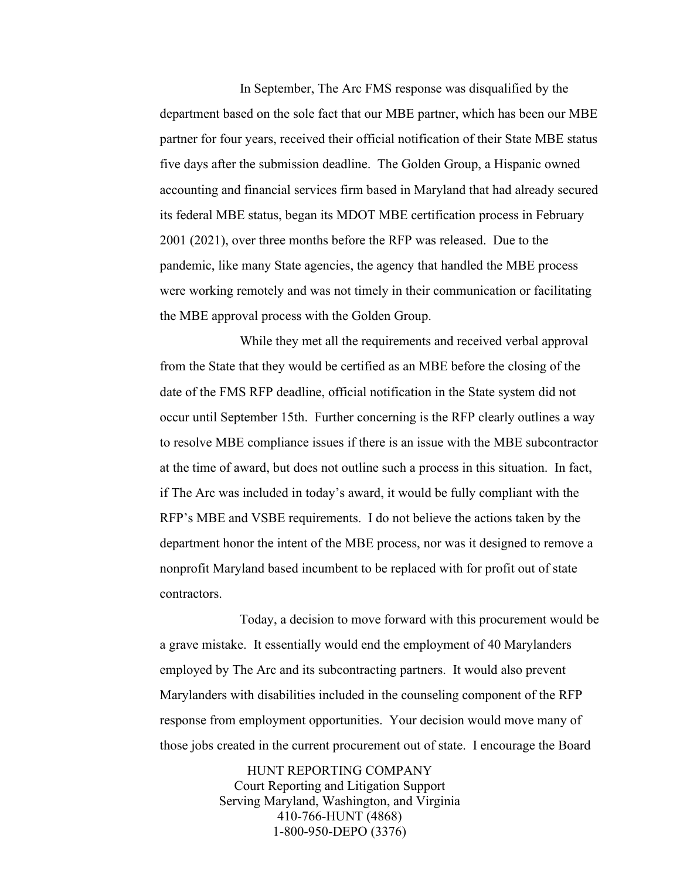In September, The Arc FMS response was disqualified by the department based on the sole fact that our MBE partner, which has been our MBE partner for four years, received their official notification of their State MBE status five days after the submission deadline. The Golden Group, a Hispanic owned accounting and financial services firm based in Maryland that had already secured its federal MBE status, began its MDOT MBE certification process in February 2001 (2021), over three months before the RFP was released. Due to the pandemic, like many State agencies, the agency that handled the MBE process were working remotely and was not timely in their communication or facilitating the MBE approval process with the Golden Group.

While they met all the requirements and received verbal approval from the State that they would be certified as an MBE before the closing of the date of the FMS RFP deadline, official notification in the State system did not occur until September 15th. Further concerning is the RFP clearly outlines a way to resolve MBE compliance issues if there is an issue with the MBE subcontractor at the time of award, but does not outline such a process in this situation. In fact, if The Arc was included in today's award, it would be fully compliant with the RFP's MBE and VSBE requirements. I do not believe the actions taken by the department honor the intent of the MBE process, nor was it designed to remove a nonprofit Maryland based incumbent to be replaced with for profit out of state contractors.

Today, a decision to move forward with this procurement would be a grave mistake. It essentially would end the employment of 40 Marylanders employed by The Arc and its subcontracting partners. It would also prevent Marylanders with disabilities included in the counseling component of the RFP response from employment opportunities. Your decision would move many of those jobs created in the current procurement out of state. I encourage the Board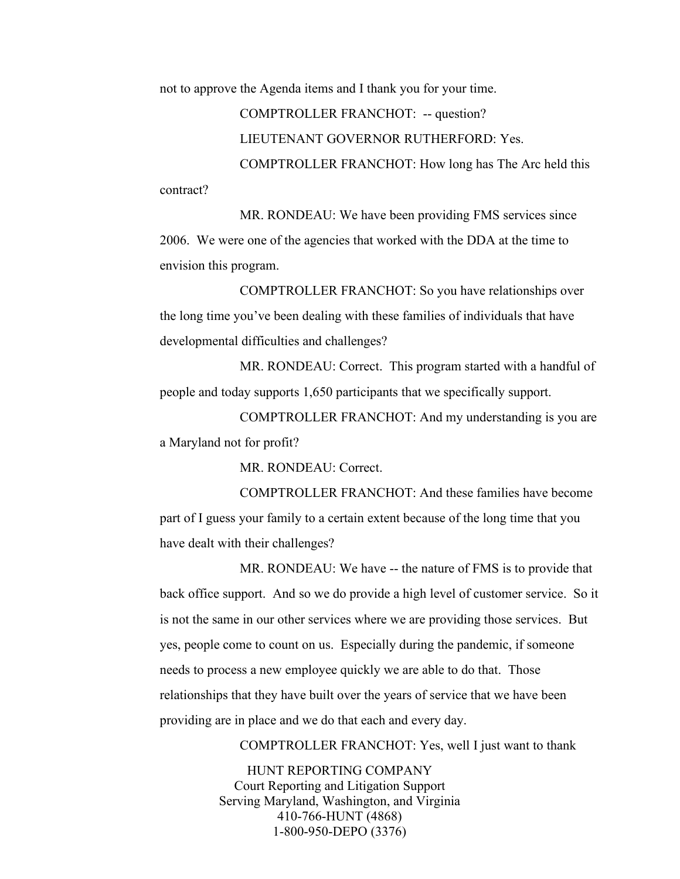contract?

not to approve the Agenda items and I thank you for your time.

COMPTROLLER FRANCHOT: -- question? LIEUTENANT GOVERNOR RUTHERFORD: Yes. COMPTROLLER FRANCHOT: How long has The Arc held this

MR. RONDEAU: We have been providing FMS services since 2006. We were one of the agencies that worked with the DDA at the time to envision this program.

COMPTROLLER FRANCHOT: So you have relationships over the long time you've been dealing with these families of individuals that have developmental difficulties and challenges?

MR. RONDEAU: Correct. This program started with a handful of people and today supports 1,650 participants that we specifically support.

COMPTROLLER FRANCHOT: And my understanding is you are a Maryland not for profit?

MR. RONDEAU: Correct.

COMPTROLLER FRANCHOT: And these families have become part of I guess your family to a certain extent because of the long time that you have dealt with their challenges?

MR. RONDEAU: We have -- the nature of FMS is to provide that back office support. And so we do provide a high level of customer service. So it is not the same in our other services where we are providing those services. But yes, people come to count on us. Especially during the pandemic, if someone needs to process a new employee quickly we are able to do that. Those relationships that they have built over the years of service that we have been providing are in place and we do that each and every day.

COMPTROLLER FRANCHOT: Yes, well I just want to thank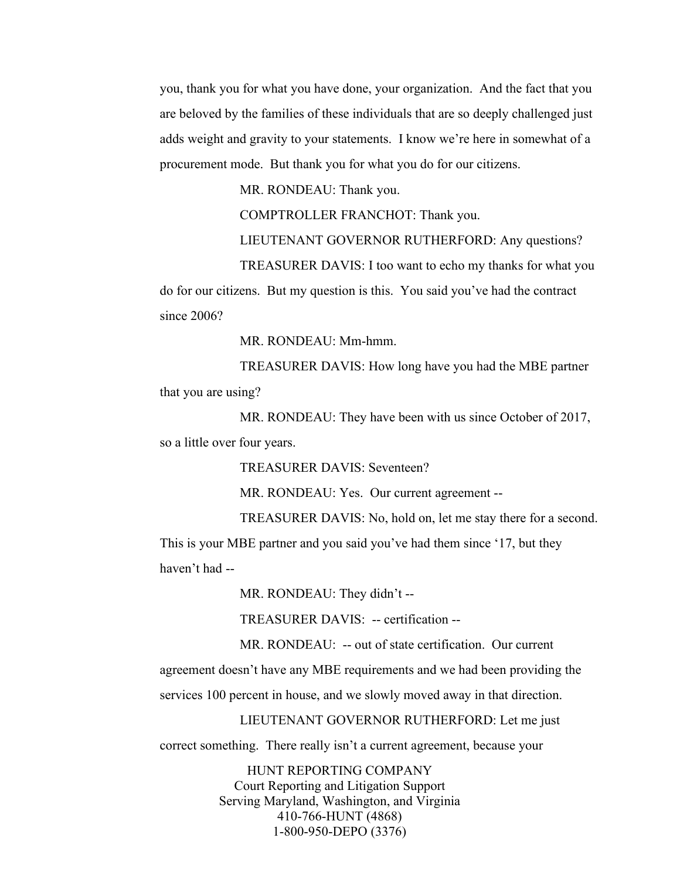you, thank you for what you have done, your organization. And the fact that you are beloved by the families of these individuals that are so deeply challenged just adds weight and gravity to your statements. I know we're here in somewhat of a procurement mode. But thank you for what you do for our citizens.

MR. RONDEAU: Thank you.

COMPTROLLER FRANCHOT: Thank you.

LIEUTENANT GOVERNOR RUTHERFORD: Any questions?

TREASURER DAVIS: I too want to echo my thanks for what you

do for our citizens. But my question is this. You said you've had the contract since 2006?

MR. RONDEAU: Mm-hmm.

TREASURER DAVIS: How long have you had the MBE partner that you are using?

MR. RONDEAU: They have been with us since October of 2017, so a little over four years.

TREASURER DAVIS: Seventeen?

MR. RONDEAU: Yes. Our current agreement --

TREASURER DAVIS: No, hold on, let me stay there for a second. This is your MBE partner and you said you've had them since '17, but they haven't had --

MR. RONDEAU: They didn't --

TREASURER DAVIS: -- certification --

MR. RONDEAU: -- out of state certification. Our current

agreement doesn't have any MBE requirements and we had been providing the

services 100 percent in house, and we slowly moved away in that direction.

LIEUTENANT GOVERNOR RUTHERFORD: Let me just

correct something. There really isn't a current agreement, because your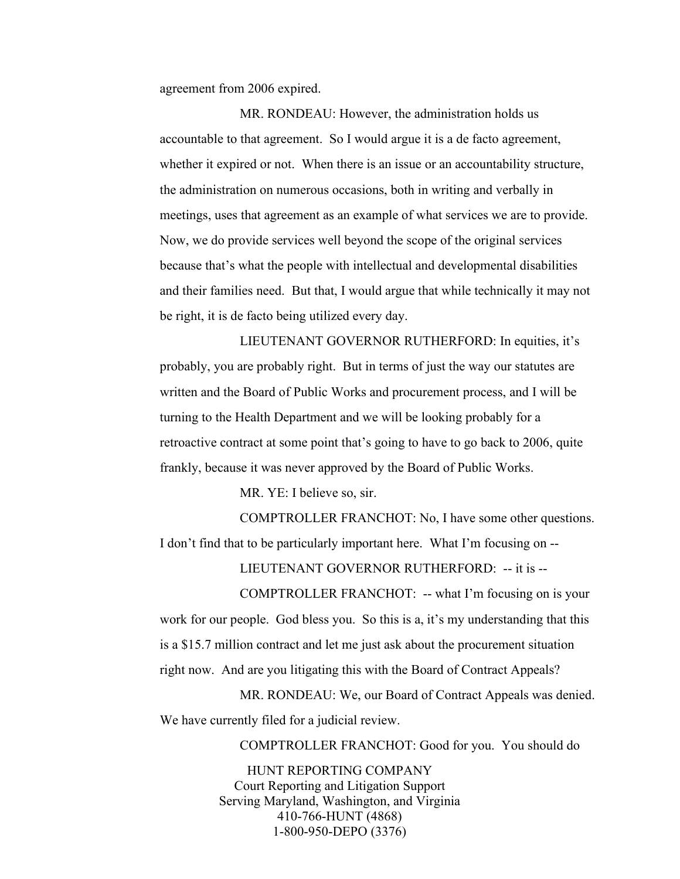agreement from 2006 expired.

MR. RONDEAU: However, the administration holds us accountable to that agreement. So I would argue it is a de facto agreement, whether it expired or not. When there is an issue or an accountability structure, the administration on numerous occasions, both in writing and verbally in meetings, uses that agreement as an example of what services we are to provide. Now, we do provide services well beyond the scope of the original services because that's what the people with intellectual and developmental disabilities and their families need. But that, I would argue that while technically it may not be right, it is de facto being utilized every day.

LIEUTENANT GOVERNOR RUTHERFORD: In equities, it's probably, you are probably right. But in terms of just the way our statutes are written and the Board of Public Works and procurement process, and I will be turning to the Health Department and we will be looking probably for a retroactive contract at some point that's going to have to go back to 2006, quite frankly, because it was never approved by the Board of Public Works.

MR. YE: I believe so, sir.

COMPTROLLER FRANCHOT: No, I have some other questions. I don't find that to be particularly important here. What I'm focusing on --

LIEUTENANT GOVERNOR RUTHERFORD: -- it is --

COMPTROLLER FRANCHOT: -- what I'm focusing on is your work for our people. God bless you. So this is a, it's my understanding that this is a \$15.7 million contract and let me just ask about the procurement situation right now. And are you litigating this with the Board of Contract Appeals?

MR. RONDEAU: We, our Board of Contract Appeals was denied. We have currently filed for a judicial review.

COMPTROLLER FRANCHOT: Good for you. You should do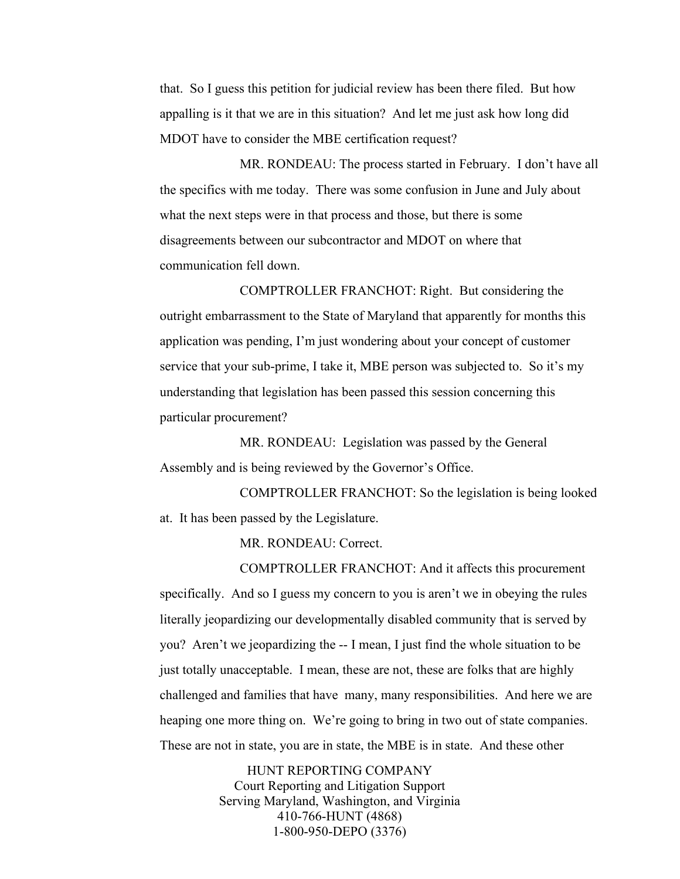## *4/27/2022 \*Board of Public Works\* 30*

that. So I guess this petition for judicial review has been there filed. But how appalling is it that we are in this situation? And let me just ask how long did MDOT have to consider the MBE certification request?

MR. RONDEAU: The process started in February. I don't have all the specifics with me today. There was some confusion in June and July about what the next steps were in that process and those, but there is some disagreements between our subcontractor and MDOT on where that communication fell down.

COMPTROLLER FRANCHOT: Right. But considering the outright embarrassment to the State of Maryland that apparently for months this application was pending, I'm just wondering about your concept of customer service that your sub-prime, I take it, MBE person was subjected to. So it's my understanding that legislation has been passed this session concerning this particular procurement?

MR. RONDEAU: Legislation was passed by the General Assembly and is being reviewed by the Governor's Office.

COMPTROLLER FRANCHOT: So the legislation is being looked at. It has been passed by the Legislature.

MR. RONDEAU: Correct.

COMPTROLLER FRANCHOT: And it affects this procurement specifically. And so I guess my concern to you is aren't we in obeying the rules literally jeopardizing our developmentally disabled community that is served by you? Aren't we jeopardizing the -- I mean, I just find the whole situation to be just totally unacceptable. I mean, these are not, these are folks that are highly challenged and families that have many, many responsibilities. And here we are heaping one more thing on. We're going to bring in two out of state companies. These are not in state, you are in state, the MBE is in state. And these other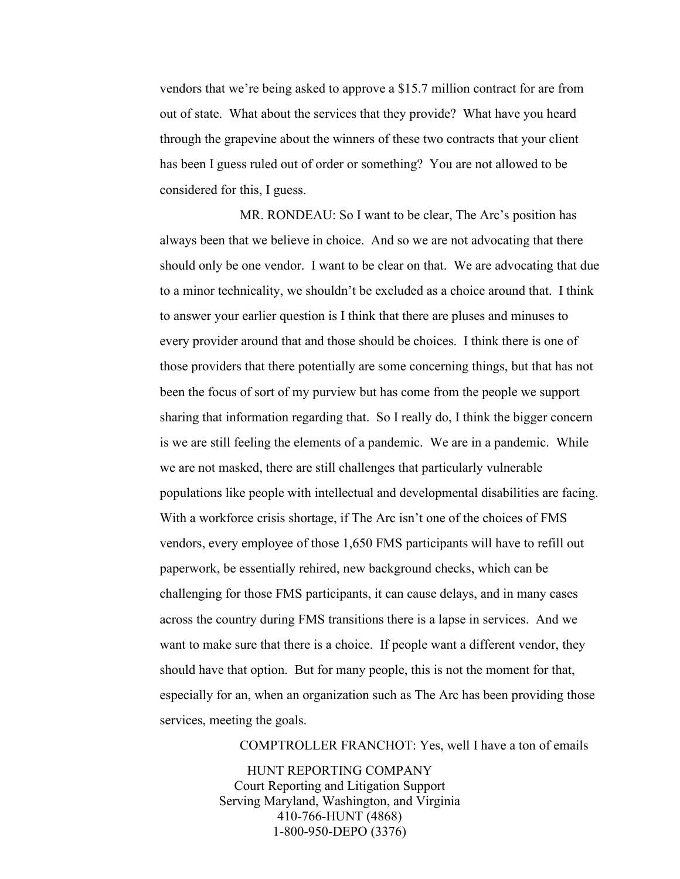vendors that we're being asked to approve a \$15.7 million contract for are from out of state. What about the services that they provide? What have you heard through the grapevine about the winners of these two contracts that your client has been I guess ruled out of order or something? You are not allowed to be considered for this, I guess.

MR. RONDEAU: So I want to be clear, The Arc's position has always been that we believe in choice. And so we are not advocating that there should only be one vendor. I want to be clear on that. We are advocating that due to a minor technicality, we shouldn't be excluded as a choice around that. I think to answer your earlier question is I think that there are pluses and minuses to every provider around that and those should be choices. I think there is one of those providers that there potentially are some concerning things, but that has not been the focus of sort of my purview but has come from the people we support sharing that information regarding that. So I really do, I think the bigger concern is we are still feeling the elements of a pandemic. We are in a pandemic. While we are not masked, there are still challenges that particularly vulnerable populations like people with intellectual and developmental disabilities are facing. With a workforce crisis shortage, if The Arc isn't one of the choices of FMS vendors, every employee of those 1,650 FMS participants will have to refill out paperwork, be essentially rehired, new background checks, which can be challenging for those FMS participants, it can cause delays, and in many cases across the country during FMS transitions there is a lapse in services. And we want to make sure that there is a choice. If people want a different vendor, they should have that option. But for many people, this is not the moment for that, especially for an, when an organization such as The Arc has been providing those services, meeting the goals.

COMPTROLLER FRANCHOT: Yes, well I have a ton of emails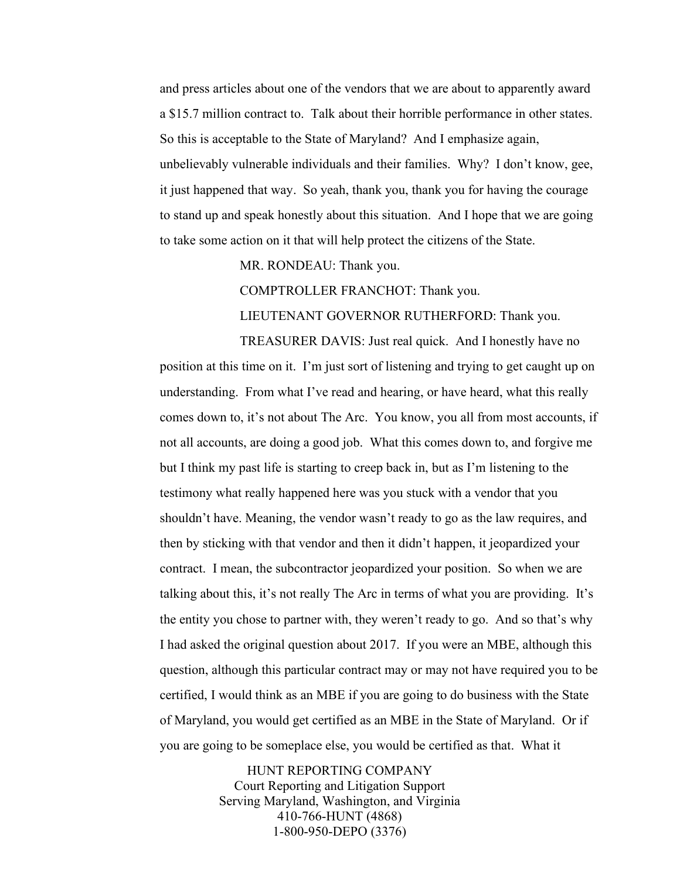and press articles about one of the vendors that we are about to apparently award a \$15.7 million contract to. Talk about their horrible performance in other states. So this is acceptable to the State of Maryland? And I emphasize again, unbelievably vulnerable individuals and their families. Why? I don't know, gee, it just happened that way. So yeah, thank you, thank you for having the courage to stand up and speak honestly about this situation. And I hope that we are going to take some action on it that will help protect the citizens of the State.

MR. RONDEAU: Thank you.

COMPTROLLER FRANCHOT: Thank you.

LIEUTENANT GOVERNOR RUTHERFORD: Thank you.

TREASURER DAVIS: Just real quick. And I honestly have no position at this time on it. I'm just sort of listening and trying to get caught up on understanding. From what I've read and hearing, or have heard, what this really comes down to, it's not about The Arc. You know, you all from most accounts, if not all accounts, are doing a good job. What this comes down to, and forgive me but I think my past life is starting to creep back in, but as I'm listening to the testimony what really happened here was you stuck with a vendor that you shouldn't have. Meaning, the vendor wasn't ready to go as the law requires, and then by sticking with that vendor and then it didn't happen, it jeopardized your contract. I mean, the subcontractor jeopardized your position. So when we are talking about this, it's not really The Arc in terms of what you are providing. It's the entity you chose to partner with, they weren't ready to go. And so that's why I had asked the original question about 2017. If you were an MBE, although this question, although this particular contract may or may not have required you to be certified, I would think as an MBE if you are going to do business with the State of Maryland, you would get certified as an MBE in the State of Maryland. Or if you are going to be someplace else, you would be certified as that. What it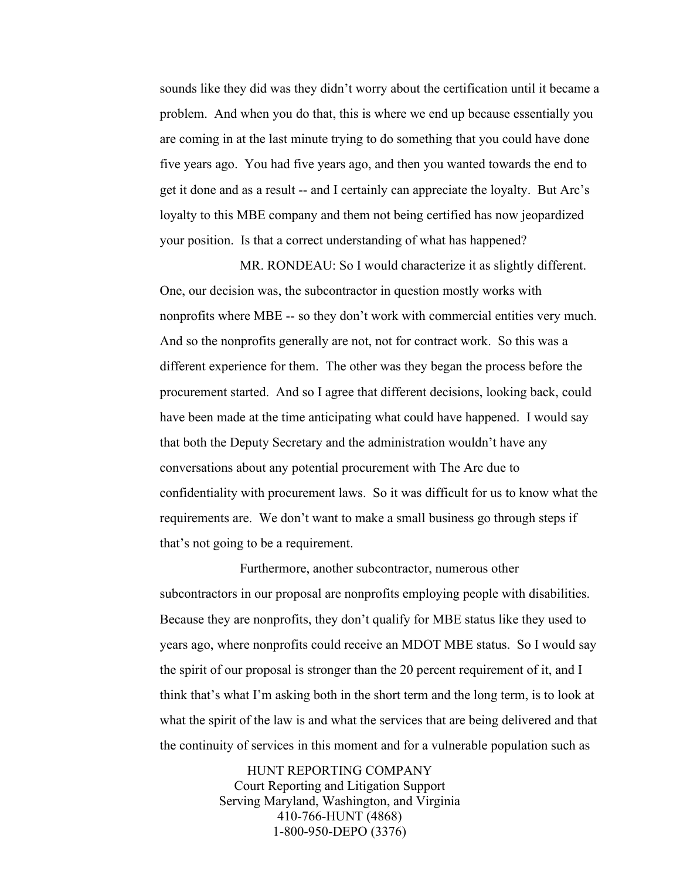sounds like they did was they didn't worry about the certification until it became a problem. And when you do that, this is where we end up because essentially you are coming in at the last minute trying to do something that you could have done five years ago. You had five years ago, and then you wanted towards the end to get it done and as a result -- and I certainly can appreciate the loyalty. But Arc's loyalty to this MBE company and them not being certified has now jeopardized your position. Is that a correct understanding of what has happened?

MR. RONDEAU: So I would characterize it as slightly different. One, our decision was, the subcontractor in question mostly works with nonprofits where MBE -- so they don't work with commercial entities very much. And so the nonprofits generally are not, not for contract work. So this was a different experience for them. The other was they began the process before the procurement started. And so I agree that different decisions, looking back, could have been made at the time anticipating what could have happened. I would say that both the Deputy Secretary and the administration wouldn't have any conversations about any potential procurement with The Arc due to confidentiality with procurement laws. So it was difficult for us to know what the requirements are. We don't want to make a small business go through steps if that's not going to be a requirement.

Furthermore, another subcontractor, numerous other subcontractors in our proposal are nonprofits employing people with disabilities. Because they are nonprofits, they don't qualify for MBE status like they used to years ago, where nonprofits could receive an MDOT MBE status. So I would say the spirit of our proposal is stronger than the 20 percent requirement of it, and I think that's what I'm asking both in the short term and the long term, is to look at what the spirit of the law is and what the services that are being delivered and that the continuity of services in this moment and for a vulnerable population such as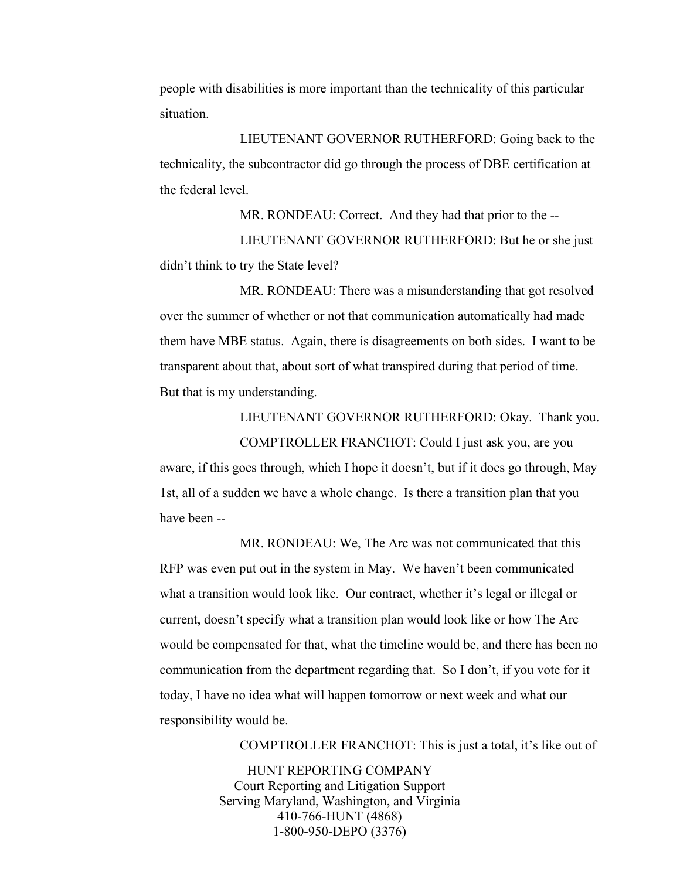people with disabilities is more important than the technicality of this particular situation.

LIEUTENANT GOVERNOR RUTHERFORD: Going back to the technicality, the subcontractor did go through the process of DBE certification at the federal level.

MR. RONDEAU: Correct. And they had that prior to the -- LIEUTENANT GOVERNOR RUTHERFORD: But he or she just didn't think to try the State level?

MR. RONDEAU: There was a misunderstanding that got resolved over the summer of whether or not that communication automatically had made them have MBE status. Again, there is disagreements on both sides. I want to be transparent about that, about sort of what transpired during that period of time. But that is my understanding.

LIEUTENANT GOVERNOR RUTHERFORD: Okay. Thank you.

COMPTROLLER FRANCHOT: Could I just ask you, are you aware, if this goes through, which I hope it doesn't, but if it does go through, May 1st, all of a sudden we have a whole change. Is there a transition plan that you have been --

MR. RONDEAU: We, The Arc was not communicated that this RFP was even put out in the system in May. We haven't been communicated what a transition would look like. Our contract, whether it's legal or illegal or current, doesn't specify what a transition plan would look like or how The Arc would be compensated for that, what the timeline would be, and there has been no communication from the department regarding that. So I don't, if you vote for it today, I have no idea what will happen tomorrow or next week and what our responsibility would be.

COMPTROLLER FRANCHOT: This is just a total, it's like out of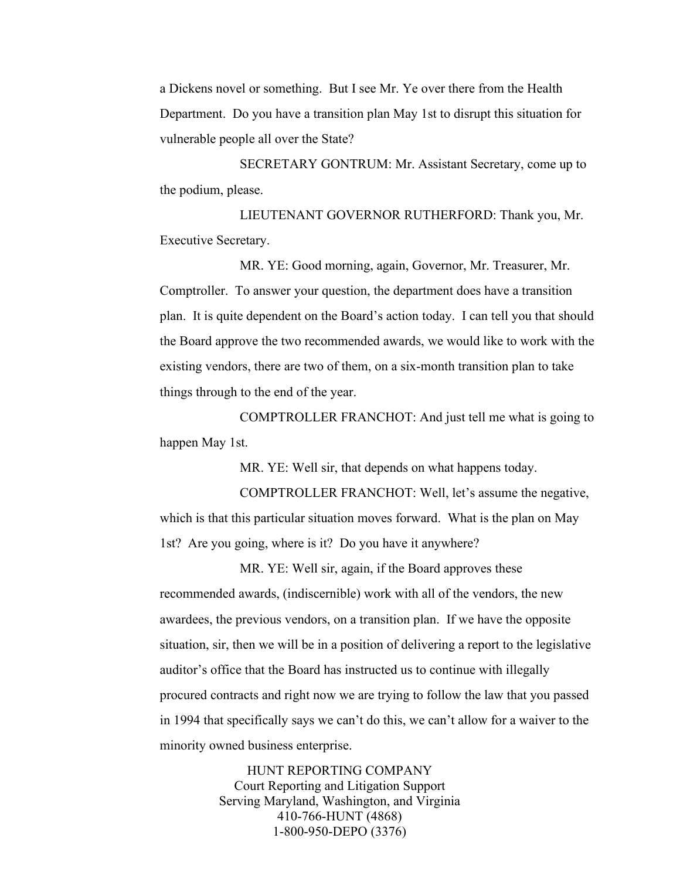a Dickens novel or something. But I see Mr. Ye over there from the Health Department. Do you have a transition plan May 1st to disrupt this situation for vulnerable people all over the State?

SECRETARY GONTRUM: Mr. Assistant Secretary, come up to the podium, please.

LIEUTENANT GOVERNOR RUTHERFORD: Thank you, Mr. Executive Secretary.

MR. YE: Good morning, again, Governor, Mr. Treasurer, Mr. Comptroller. To answer your question, the department does have a transition plan. It is quite dependent on the Board's action today. I can tell you that should the Board approve the two recommended awards, we would like to work with the existing vendors, there are two of them, on a six-month transition plan to take things through to the end of the year.

COMPTROLLER FRANCHOT: And just tell me what is going to happen May 1st.

MR. YE: Well sir, that depends on what happens today.

COMPTROLLER FRANCHOT: Well, let's assume the negative, which is that this particular situation moves forward. What is the plan on May 1st? Are you going, where is it? Do you have it anywhere?

MR. YE: Well sir, again, if the Board approves these recommended awards, (indiscernible) work with all of the vendors, the new awardees, the previous vendors, on a transition plan. If we have the opposite situation, sir, then we will be in a position of delivering a report to the legislative auditor's office that the Board has instructed us to continue with illegally procured contracts and right now we are trying to follow the law that you passed in 1994 that specifically says we can't do this, we can't allow for a waiver to the minority owned business enterprise.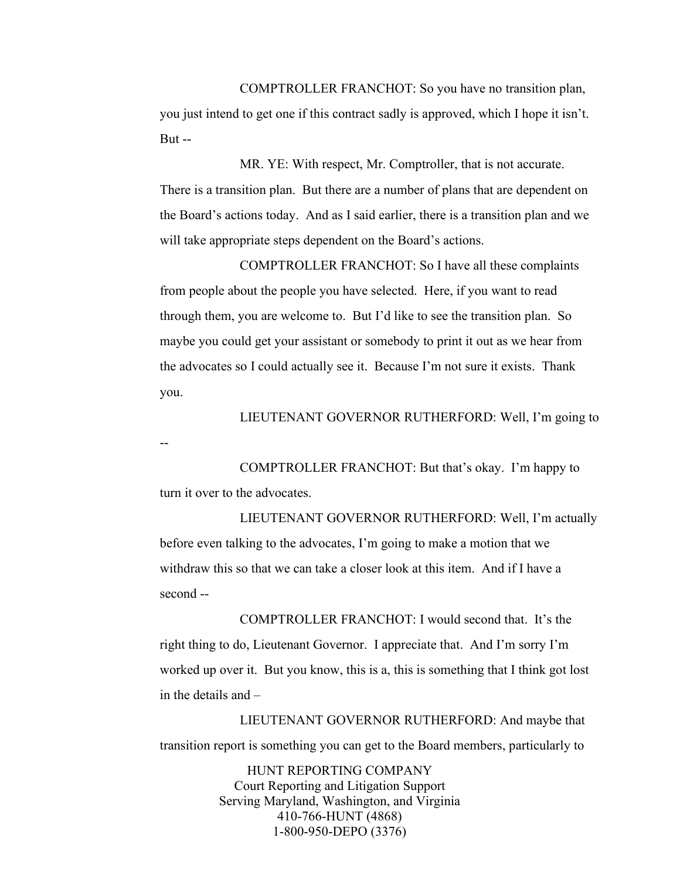COMPTROLLER FRANCHOT: So you have no transition plan, you just intend to get one if this contract sadly is approved, which I hope it isn't. But --

MR. YE: With respect, Mr. Comptroller, that is not accurate. There is a transition plan. But there are a number of plans that are dependent on the Board's actions today. And as I said earlier, there is a transition plan and we will take appropriate steps dependent on the Board's actions.

COMPTROLLER FRANCHOT: So I have all these complaints from people about the people you have selected. Here, if you want to read through them, you are welcome to. But I'd like to see the transition plan. So maybe you could get your assistant or somebody to print it out as we hear from the advocates so I could actually see it. Because I'm not sure it exists. Thank you.

LIEUTENANT GOVERNOR RUTHERFORD: Well, I'm going to

--

COMPTROLLER FRANCHOT: But that's okay. I'm happy to turn it over to the advocates.

LIEUTENANT GOVERNOR RUTHERFORD: Well, I'm actually before even talking to the advocates, I'm going to make a motion that we withdraw this so that we can take a closer look at this item. And if I have a second --

COMPTROLLER FRANCHOT: I would second that. It's the right thing to do, Lieutenant Governor. I appreciate that. And I'm sorry I'm worked up over it. But you know, this is a, this is something that I think got lost in the details and –

LIEUTENANT GOVERNOR RUTHERFORD: And maybe that transition report is something you can get to the Board members, particularly to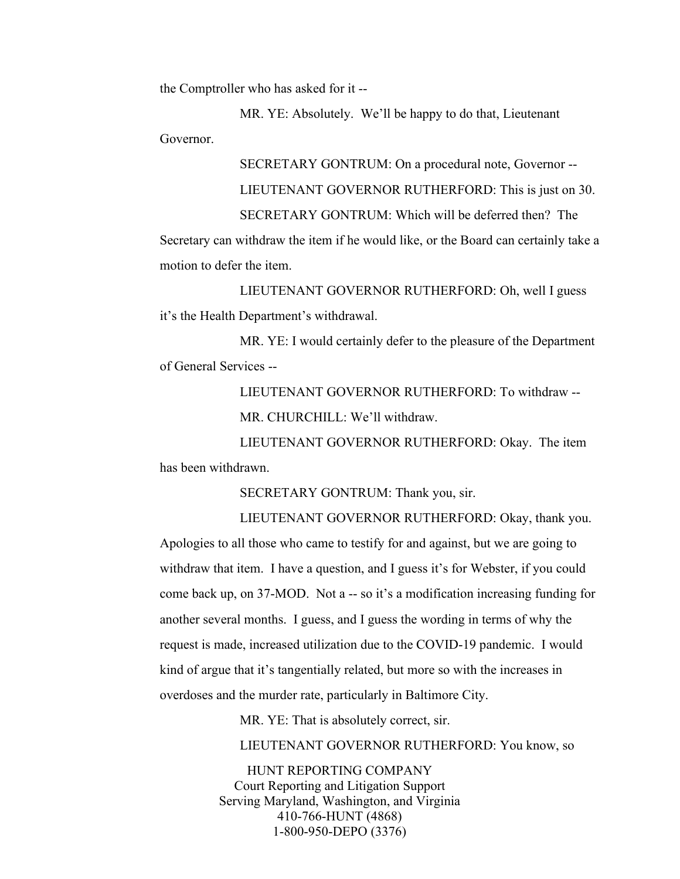the Comptroller who has asked for it --

MR. YE: Absolutely. We'll be happy to do that, Lieutenant Governor.

> SECRETARY GONTRUM: On a procedural note, Governor -- LIEUTENANT GOVERNOR RUTHERFORD: This is just on 30. SECRETARY GONTRUM: Which will be deferred then? The

Secretary can withdraw the item if he would like, or the Board can certainly take a motion to defer the item.

LIEUTENANT GOVERNOR RUTHERFORD: Oh, well I guess it's the Health Department's withdrawal.

MR. YE: I would certainly defer to the pleasure of the Department of General Services --

> LIEUTENANT GOVERNOR RUTHERFORD: To withdraw -- MR. CHURCHILL: We'll withdraw.

LIEUTENANT GOVERNOR RUTHERFORD: Okay. The item has been withdrawn.

SECRETARY GONTRUM: Thank you, sir.

LIEUTENANT GOVERNOR RUTHERFORD: Okay, thank you. Apologies to all those who came to testify for and against, but we are going to withdraw that item. I have a question, and I guess it's for Webster, if you could come back up, on 37-MOD. Not a -- so it's a modification increasing funding for another several months. I guess, and I guess the wording in terms of why the request is made, increased utilization due to the COVID-19 pandemic. I would kind of argue that it's tangentially related, but more so with the increases in overdoses and the murder rate, particularly in Baltimore City.

MR. YE: That is absolutely correct, sir.

LIEUTENANT GOVERNOR RUTHERFORD: You know, so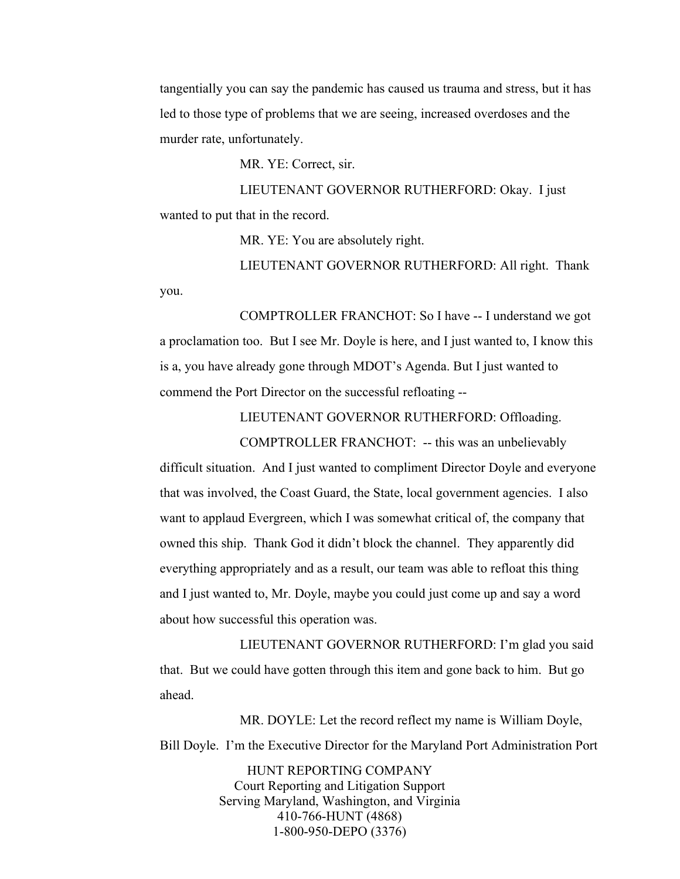tangentially you can say the pandemic has caused us trauma and stress, but it has led to those type of problems that we are seeing, increased overdoses and the murder rate, unfortunately.

MR. YE: Correct, sir.

LIEUTENANT GOVERNOR RUTHERFORD: Okay. I just wanted to put that in the record.

MR. YE: You are absolutely right.

LIEUTENANT GOVERNOR RUTHERFORD: All right. Thank you.

COMPTROLLER FRANCHOT: So I have -- I understand we got a proclamation too. But I see Mr. Doyle is here, and I just wanted to, I know this is a, you have already gone through MDOT's Agenda. But I just wanted to commend the Port Director on the successful refloating --

LIEUTENANT GOVERNOR RUTHERFORD: Offloading.

COMPTROLLER FRANCHOT: -- this was an unbelievably difficult situation. And I just wanted to compliment Director Doyle and everyone that was involved, the Coast Guard, the State, local government agencies. I also want to applaud Evergreen, which I was somewhat critical of, the company that owned this ship. Thank God it didn't block the channel. They apparently did everything appropriately and as a result, our team was able to refloat this thing and I just wanted to, Mr. Doyle, maybe you could just come up and say a word about how successful this operation was.

LIEUTENANT GOVERNOR RUTHERFORD: I'm glad you said that. But we could have gotten through this item and gone back to him. But go ahead.

MR. DOYLE: Let the record reflect my name is William Doyle, Bill Doyle. I'm the Executive Director for the Maryland Port Administration Port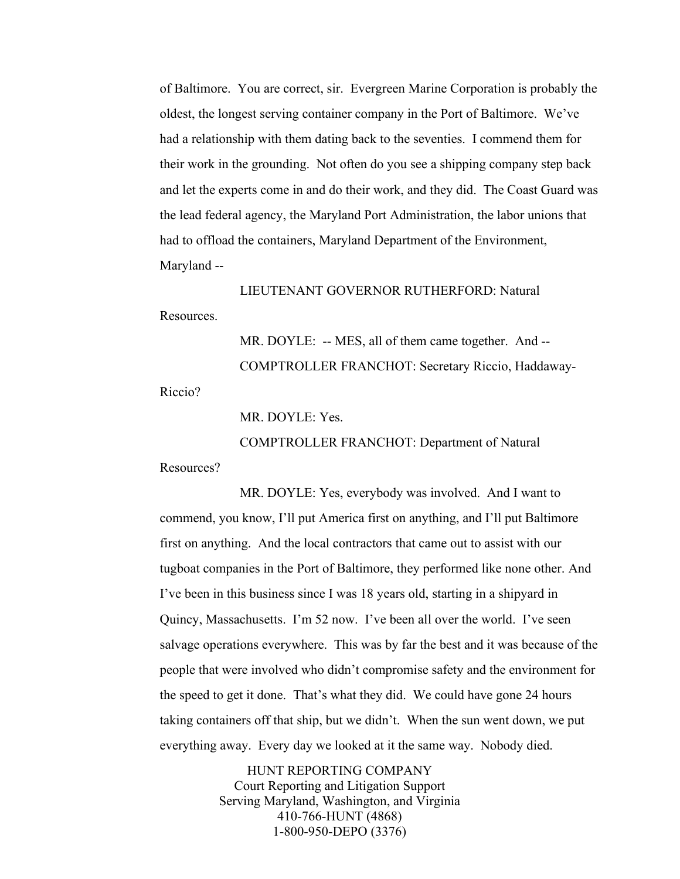of Baltimore. You are correct, sir. Evergreen Marine Corporation is probably the oldest, the longest serving container company in the Port of Baltimore. We've had a relationship with them dating back to the seventies. I commend them for their work in the grounding. Not often do you see a shipping company step back and let the experts come in and do their work, and they did. The Coast Guard was the lead federal agency, the Maryland Port Administration, the labor unions that had to offload the containers, Maryland Department of the Environment, Maryland --

LIEUTENANT GOVERNOR RUTHERFORD: Natural Resources.

> MR. DOYLE: -- MES, all of them came together. And --COMPTROLLER FRANCHOT: Secretary Riccio, Haddaway-

Riccio?

MR. DOYLE: Yes.

COMPTROLLER FRANCHOT: Department of Natural

Resources?

MR. DOYLE: Yes, everybody was involved. And I want to commend, you know, I'll put America first on anything, and I'll put Baltimore first on anything. And the local contractors that came out to assist with our tugboat companies in the Port of Baltimore, they performed like none other. And I've been in this business since I was 18 years old, starting in a shipyard in Quincy, Massachusetts. I'm 52 now. I've been all over the world. I've seen salvage operations everywhere. This was by far the best and it was because of the people that were involved who didn't compromise safety and the environment for the speed to get it done. That's what they did. We could have gone 24 hours taking containers off that ship, but we didn't. When the sun went down, we put everything away. Every day we looked at it the same way. Nobody died.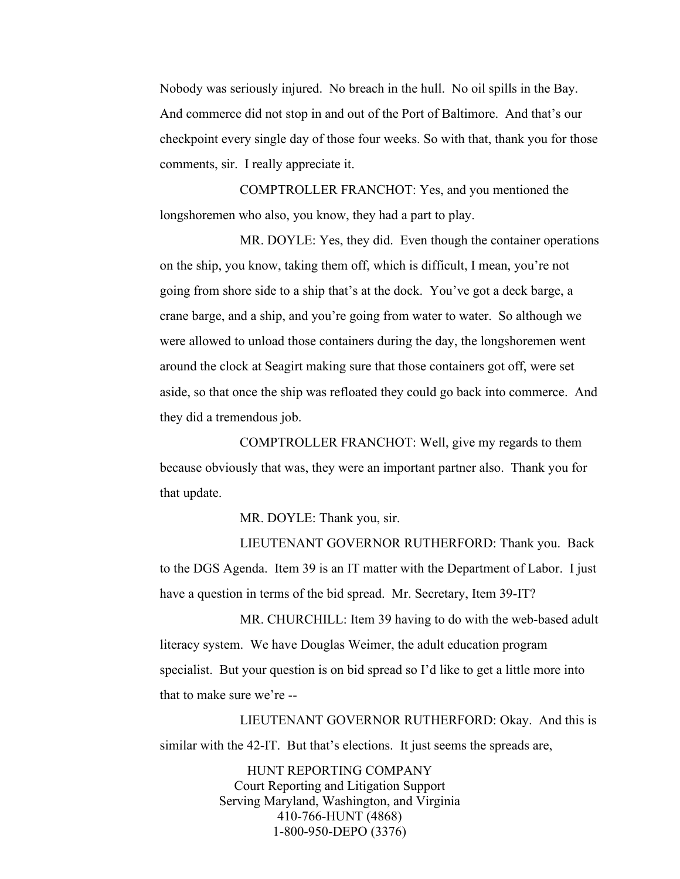Nobody was seriously injured. No breach in the hull. No oil spills in the Bay. And commerce did not stop in and out of the Port of Baltimore. And that's our checkpoint every single day of those four weeks. So with that, thank you for those comments, sir. I really appreciate it.

COMPTROLLER FRANCHOT: Yes, and you mentioned the longshoremen who also, you know, they had a part to play.

MR. DOYLE: Yes, they did. Even though the container operations on the ship, you know, taking them off, which is difficult, I mean, you're not going from shore side to a ship that's at the dock. You've got a deck barge, a crane barge, and a ship, and you're going from water to water. So although we were allowed to unload those containers during the day, the longshoremen went around the clock at Seagirt making sure that those containers got off, were set aside, so that once the ship was refloated they could go back into commerce. And they did a tremendous job.

COMPTROLLER FRANCHOT: Well, give my regards to them because obviously that was, they were an important partner also. Thank you for that update.

MR. DOYLE: Thank you, sir.

LIEUTENANT GOVERNOR RUTHERFORD: Thank you. Back to the DGS Agenda. Item 39 is an IT matter with the Department of Labor. I just have a question in terms of the bid spread. Mr. Secretary, Item 39-IT?

MR. CHURCHILL: Item 39 having to do with the web-based adult literacy system. We have Douglas Weimer, the adult education program specialist. But your question is on bid spread so I'd like to get a little more into that to make sure we're --

LIEUTENANT GOVERNOR RUTHERFORD: Okay. And this is similar with the 42-IT. But that's elections. It just seems the spreads are,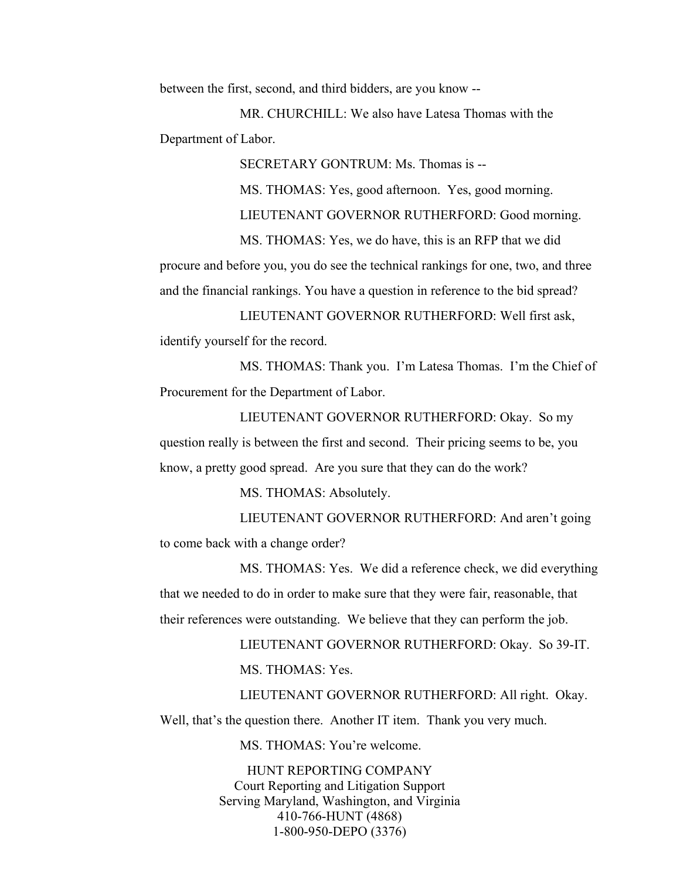between the first, second, and third bidders, are you know --

MR. CHURCHILL: We also have Latesa Thomas with the Department of Labor.

SECRETARY GONTRUM: Ms. Thomas is --

MS. THOMAS: Yes, good afternoon. Yes, good morning.

LIEUTENANT GOVERNOR RUTHERFORD: Good morning.

 MS. THOMAS: Yes, we do have, this is an RFP that we did procure and before you, you do see the technical rankings for one, two, and three and the financial rankings. You have a question in reference to the bid spread?

LIEUTENANT GOVERNOR RUTHERFORD: Well first ask, identify yourself for the record.

MS. THOMAS: Thank you. I'm Latesa Thomas. I'm the Chief of Procurement for the Department of Labor.

LIEUTENANT GOVERNOR RUTHERFORD: Okay. So my question really is between the first and second. Their pricing seems to be, you know, a pretty good spread. Are you sure that they can do the work?

MS. THOMAS: Absolutely.

LIEUTENANT GOVERNOR RUTHERFORD: And aren't going to come back with a change order?

MS. THOMAS: Yes. We did a reference check, we did everything that we needed to do in order to make sure that they were fair, reasonable, that their references were outstanding. We believe that they can perform the job.

> LIEUTENANT GOVERNOR RUTHERFORD: Okay. So 39-IT. MS. THOMAS: Yes.

LIEUTENANT GOVERNOR RUTHERFORD: All right. Okay. Well, that's the question there. Another IT item. Thank you very much.

MS. THOMAS: You're welcome.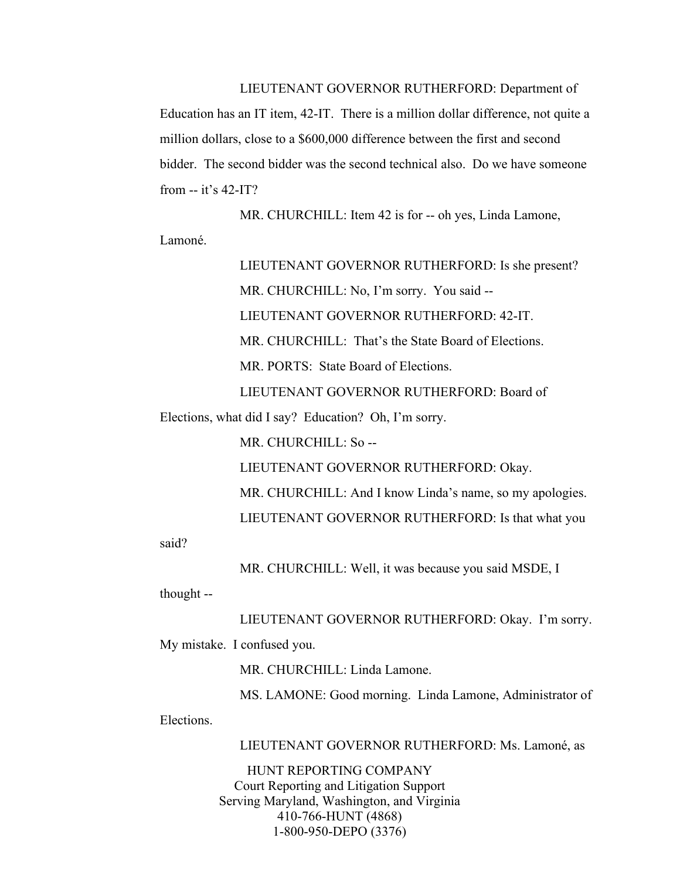LIEUTENANT GOVERNOR RUTHERFORD: Department of Education has an IT item, 42-IT. There is a million dollar difference, not quite a million dollars, close to a \$600,000 difference between the first and second bidder. The second bidder was the second technical also. Do we have someone from -- it's 42-IT?

MR. CHURCHILL: Item 42 is for -- oh yes, Linda Lamone, Lamoné.

> LIEUTENANT GOVERNOR RUTHERFORD: Is she present? MR. CHURCHILL: No, I'm sorry. You said -- LIEUTENANT GOVERNOR RUTHERFORD: 42-IT. MR. CHURCHILL: That's the State Board of Elections. MR. PORTS: State Board of Elections. LIEUTENANT GOVERNOR RUTHERFORD: Board of

Elections, what did I say? Education? Oh, I'm sorry.

MR. CHURCHILL: So --

LIEUTENANT GOVERNOR RUTHERFORD: Okay.

MR. CHURCHILL: And I know Linda's name, so my apologies.

LIEUTENANT GOVERNOR RUTHERFORD: Is that what you

said?

MR. CHURCHILL: Well, it was because you said MSDE, I

thought --

LIEUTENANT GOVERNOR RUTHERFORD: Okay. I'm sorry.

My mistake. I confused you.

MR. CHURCHILL: Linda Lamone.

MS. LAMONE: Good morning. Linda Lamone, Administrator of

Elections.

LIEUTENANT GOVERNOR RUTHERFORD: Ms. Lamoné, as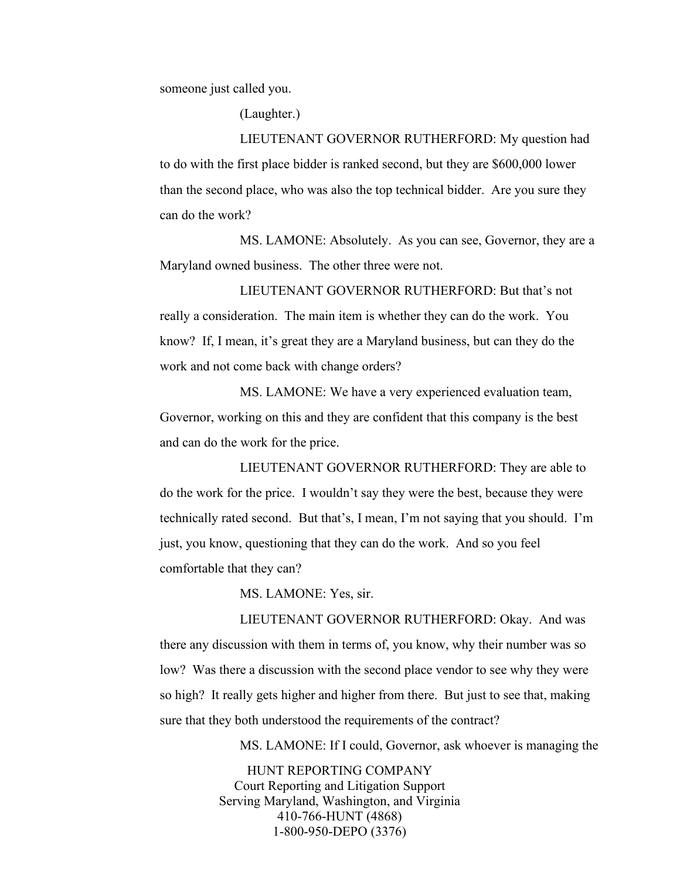someone just called you.

(Laughter.)

LIEUTENANT GOVERNOR RUTHERFORD: My question had to do with the first place bidder is ranked second, but they are \$600,000 lower than the second place, who was also the top technical bidder. Are you sure they can do the work?

MS. LAMONE: Absolutely. As you can see, Governor, they are a Maryland owned business. The other three were not.

LIEUTENANT GOVERNOR RUTHERFORD: But that's not really a consideration. The main item is whether they can do the work. You know? If, I mean, it's great they are a Maryland business, but can they do the work and not come back with change orders?

MS. LAMONE: We have a very experienced evaluation team, Governor, working on this and they are confident that this company is the best and can do the work for the price.

LIEUTENANT GOVERNOR RUTHERFORD: They are able to do the work for the price. I wouldn't say they were the best, because they were technically rated second. But that's, I mean, I'm not saying that you should. I'm just, you know, questioning that they can do the work. And so you feel comfortable that they can?

MS. LAMONE: Yes, sir.

LIEUTENANT GOVERNOR RUTHERFORD: Okay. And was there any discussion with them in terms of, you know, why their number was so low? Was there a discussion with the second place vendor to see why they were so high? It really gets higher and higher from there. But just to see that, making sure that they both understood the requirements of the contract?

MS. LAMONE: If I could, Governor, ask whoever is managing the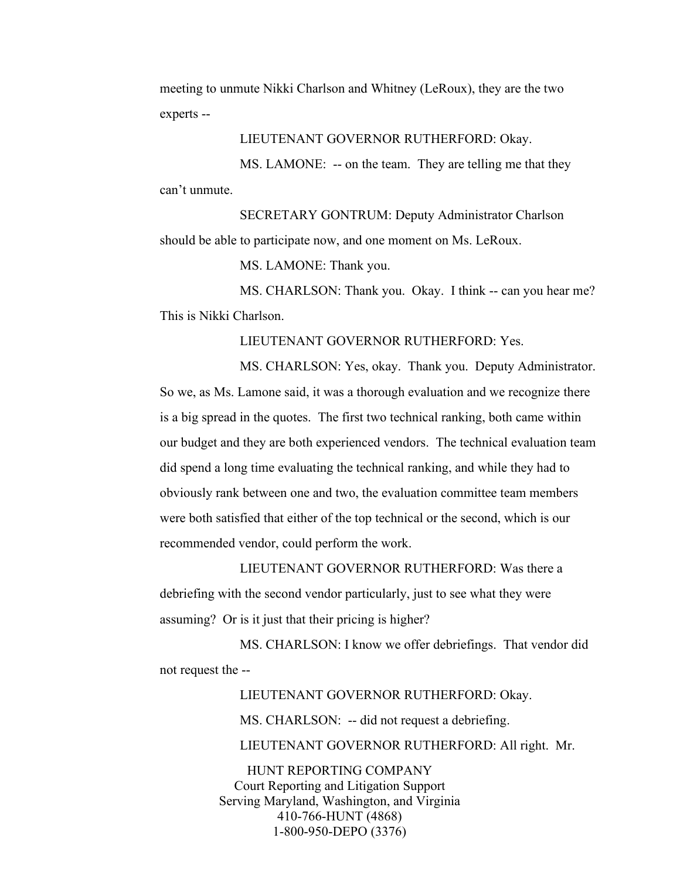meeting to unmute Nikki Charlson and Whitney (LeRoux), they are the two experts --

LIEUTENANT GOVERNOR RUTHERFORD: Okay.

MS. LAMONE: -- on the team. They are telling me that they can't unmute.

SECRETARY GONTRUM: Deputy Administrator Charlson should be able to participate now, and one moment on Ms. LeRoux.

MS. LAMONE: Thank you.

MS. CHARLSON: Thank you. Okay. I think -- can you hear me? This is Nikki Charlson.

LIEUTENANT GOVERNOR RUTHERFORD: Yes.

MS. CHARLSON: Yes, okay. Thank you. Deputy Administrator. So we, as Ms. Lamone said, it was a thorough evaluation and we recognize there is a big spread in the quotes. The first two technical ranking, both came within our budget and they are both experienced vendors. The technical evaluation team did spend a long time evaluating the technical ranking, and while they had to obviously rank between one and two, the evaluation committee team members were both satisfied that either of the top technical or the second, which is our recommended vendor, could perform the work.

LIEUTENANT GOVERNOR RUTHERFORD: Was there a debriefing with the second vendor particularly, just to see what they were assuming? Or is it just that their pricing is higher?

MS. CHARLSON: I know we offer debriefings. That vendor did not request the --

> HUNT REPORTING COMPANY LIEUTENANT GOVERNOR RUTHERFORD: Okay. MS. CHARLSON: -- did not request a debriefing. LIEUTENANT GOVERNOR RUTHERFORD: All right. Mr.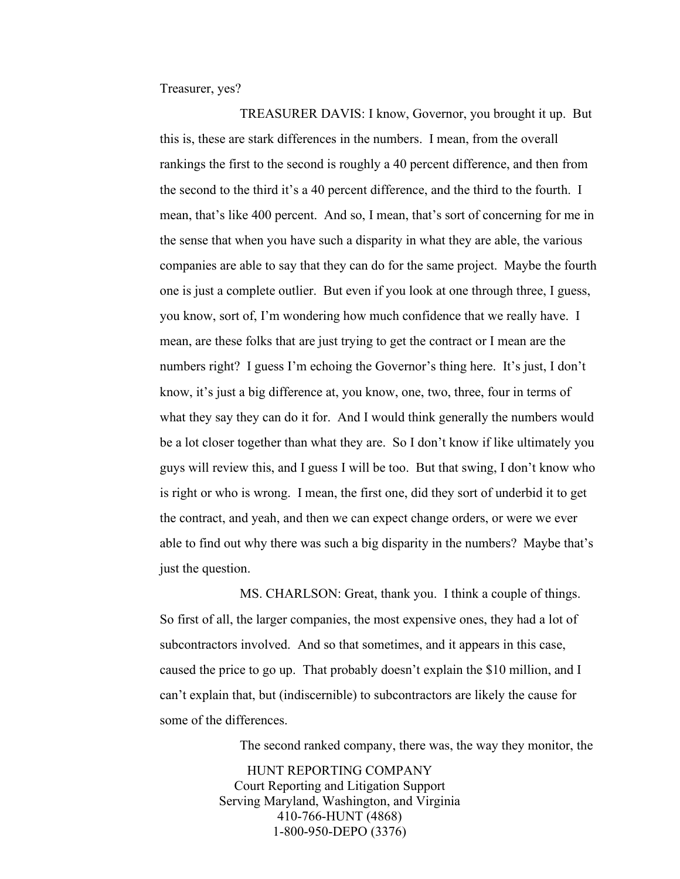Treasurer, yes?

TREASURER DAVIS: I know, Governor, you brought it up. But this is, these are stark differences in the numbers. I mean, from the overall rankings the first to the second is roughly a 40 percent difference, and then from the second to the third it's a 40 percent difference, and the third to the fourth. I mean, that's like 400 percent. And so, I mean, that's sort of concerning for me in the sense that when you have such a disparity in what they are able, the various companies are able to say that they can do for the same project. Maybe the fourth one is just a complete outlier. But even if you look at one through three, I guess, you know, sort of, I'm wondering how much confidence that we really have. I mean, are these folks that are just trying to get the contract or I mean are the numbers right? I guess I'm echoing the Governor's thing here. It's just, I don't know, it's just a big difference at, you know, one, two, three, four in terms of what they say they can do it for. And I would think generally the numbers would be a lot closer together than what they are. So I don't know if like ultimately you guys will review this, and I guess I will be too. But that swing, I don't know who is right or who is wrong. I mean, the first one, did they sort of underbid it to get the contract, and yeah, and then we can expect change orders, or were we ever able to find out why there was such a big disparity in the numbers? Maybe that's just the question.

MS. CHARLSON: Great, thank you. I think a couple of things. So first of all, the larger companies, the most expensive ones, they had a lot of subcontractors involved. And so that sometimes, and it appears in this case, caused the price to go up. That probably doesn't explain the \$10 million, and I can't explain that, but (indiscernible) to subcontractors are likely the cause for some of the differences.

The second ranked company, there was, the way they monitor, the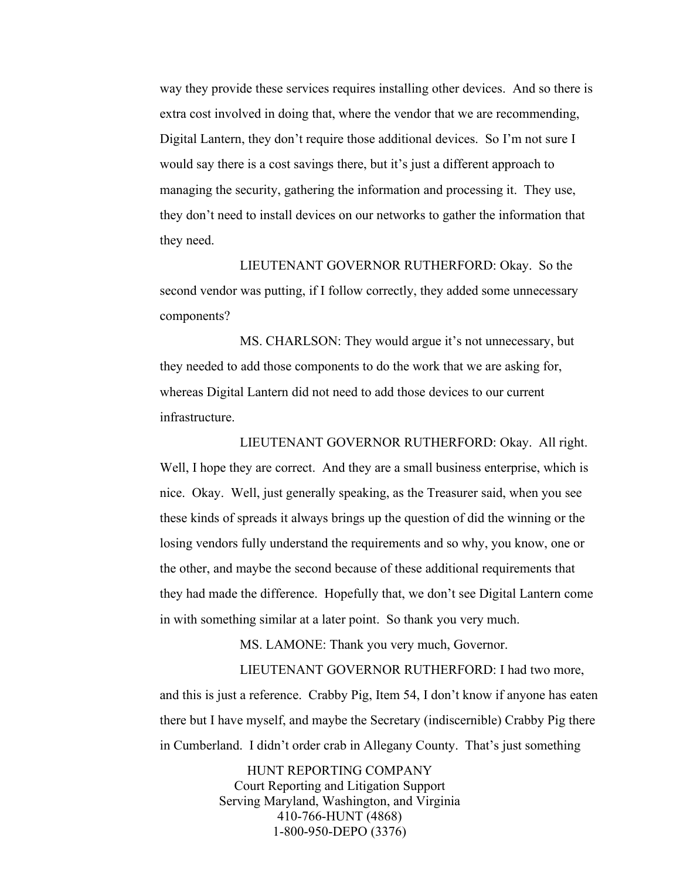way they provide these services requires installing other devices. And so there is extra cost involved in doing that, where the vendor that we are recommending, Digital Lantern, they don't require those additional devices. So I'm not sure I would say there is a cost savings there, but it's just a different approach to managing the security, gathering the information and processing it. They use, they don't need to install devices on our networks to gather the information that they need.

LIEUTENANT GOVERNOR RUTHERFORD: Okay. So the second vendor was putting, if I follow correctly, they added some unnecessary components?

MS. CHARLSON: They would argue it's not unnecessary, but they needed to add those components to do the work that we are asking for, whereas Digital Lantern did not need to add those devices to our current infrastructure.

LIEUTENANT GOVERNOR RUTHERFORD: Okay. All right. Well, I hope they are correct. And they are a small business enterprise, which is nice. Okay. Well, just generally speaking, as the Treasurer said, when you see these kinds of spreads it always brings up the question of did the winning or the losing vendors fully understand the requirements and so why, you know, one or the other, and maybe the second because of these additional requirements that they had made the difference. Hopefully that, we don't see Digital Lantern come in with something similar at a later point. So thank you very much.

MS. LAMONE: Thank you very much, Governor.

LIEUTENANT GOVERNOR RUTHERFORD: I had two more, and this is just a reference. Crabby Pig, Item 54, I don't know if anyone has eaten there but I have myself, and maybe the Secretary (indiscernible) Crabby Pig there in Cumberland. I didn't order crab in Allegany County. That's just something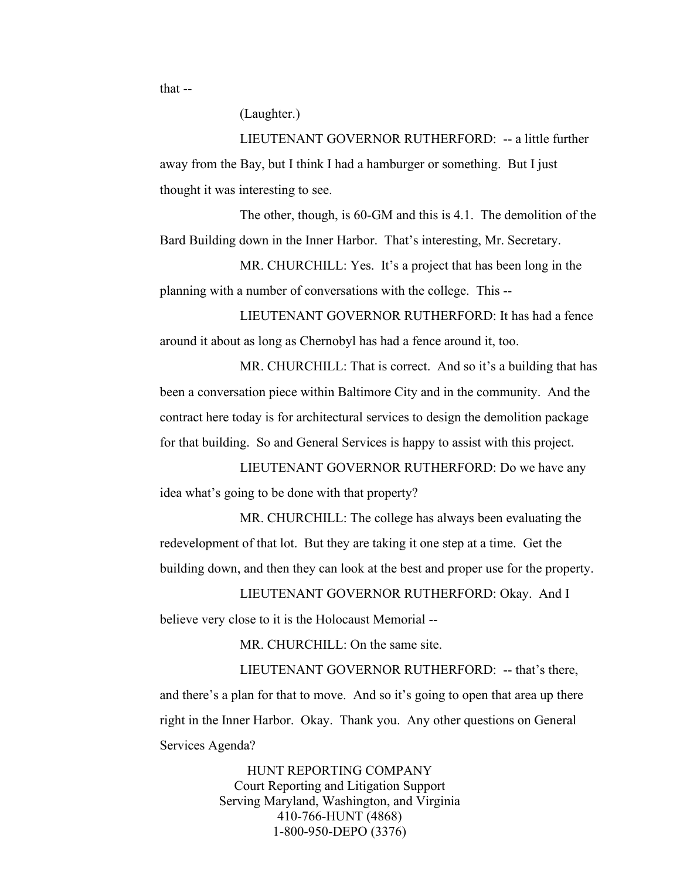that --

(Laughter.)

LIEUTENANT GOVERNOR RUTHERFORD: -- a little further away from the Bay, but I think I had a hamburger or something. But I just thought it was interesting to see.

The other, though, is 60-GM and this is 4.1. The demolition of the Bard Building down in the Inner Harbor. That's interesting, Mr. Secretary.

MR. CHURCHILL: Yes. It's a project that has been long in the planning with a number of conversations with the college. This --

LIEUTENANT GOVERNOR RUTHERFORD: It has had a fence around it about as long as Chernobyl has had a fence around it, too.

MR. CHURCHILL: That is correct. And so it's a building that has been a conversation piece within Baltimore City and in the community. And the contract here today is for architectural services to design the demolition package for that building. So and General Services is happy to assist with this project.

LIEUTENANT GOVERNOR RUTHERFORD: Do we have any idea what's going to be done with that property?

MR. CHURCHILL: The college has always been evaluating the redevelopment of that lot. But they are taking it one step at a time. Get the building down, and then they can look at the best and proper use for the property.

LIEUTENANT GOVERNOR RUTHERFORD: Okay. And I believe very close to it is the Holocaust Memorial --

MR. CHURCHILL: On the same site.

LIEUTENANT GOVERNOR RUTHERFORD: -- that's there, and there's a plan for that to move. And so it's going to open that area up there right in the Inner Harbor. Okay. Thank you. Any other questions on General Services Agenda?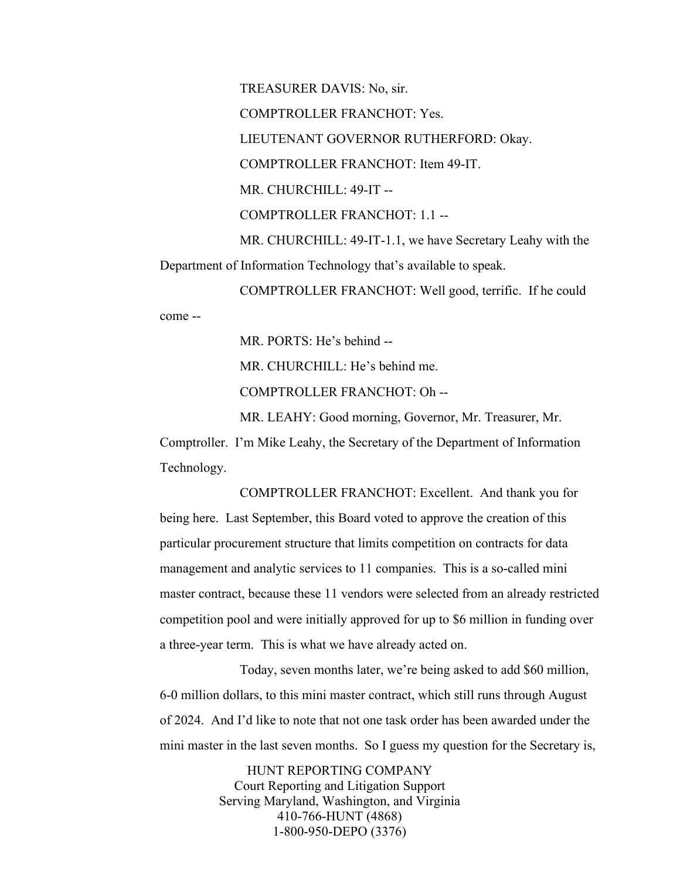come --

TREASURER DAVIS: No, sir. COMPTROLLER FRANCHOT: Yes. LIEUTENANT GOVERNOR RUTHERFORD: Okay. COMPTROLLER FRANCHOT: Item 49-IT. MR. CHURCHILL: 49-IT -- COMPTROLLER FRANCHOT: 1.1 -- MR. CHURCHILL: 49-IT-1.1, we have Secretary Leahy with the Department of Information Technology that's available to speak. COMPTROLLER FRANCHOT: Well good, terrific. If he could

MR. PORTS: He's behind --

MR. CHURCHILL: He's behind me.

COMPTROLLER FRANCHOT: Oh --

MR. LEAHY: Good morning, Governor, Mr. Treasurer, Mr.

Comptroller. I'm Mike Leahy, the Secretary of the Department of Information Technology.

COMPTROLLER FRANCHOT: Excellent. And thank you for being here. Last September, this Board voted to approve the creation of this particular procurement structure that limits competition on contracts for data management and analytic services to 11 companies. This is a so-called mini master contract, because these 11 vendors were selected from an already restricted competition pool and were initially approved for up to \$6 million in funding over a three-year term. This is what we have already acted on.

Today, seven months later, we're being asked to add \$60 million, 6-0 million dollars, to this mini master contract, which still runs through August of 2024. And I'd like to note that not one task order has been awarded under the mini master in the last seven months. So I guess my question for the Secretary is,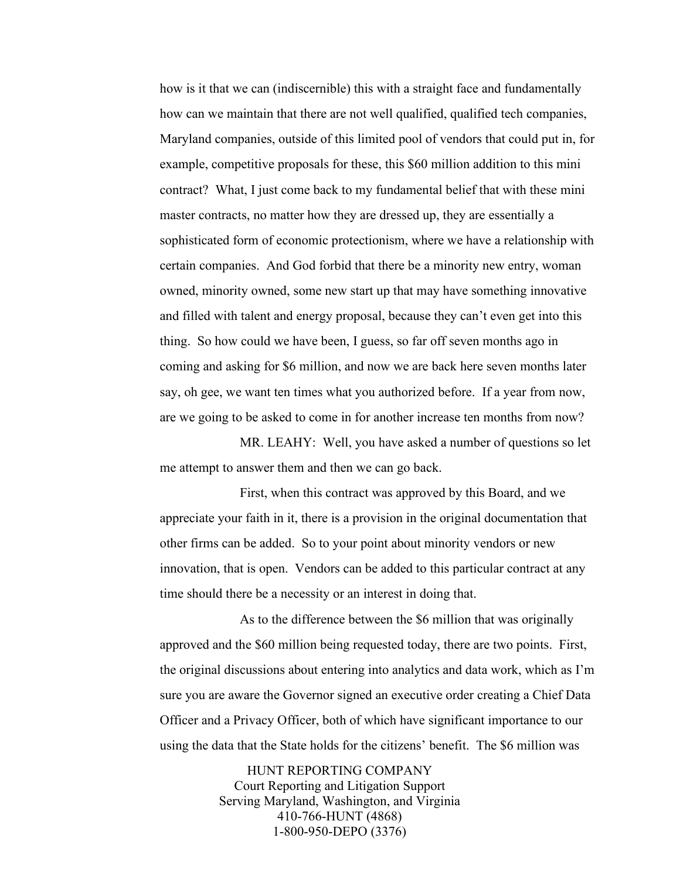how is it that we can (indiscernible) this with a straight face and fundamentally how can we maintain that there are not well qualified, qualified tech companies, Maryland companies, outside of this limited pool of vendors that could put in, for example, competitive proposals for these, this \$60 million addition to this mini contract? What, I just come back to my fundamental belief that with these mini master contracts, no matter how they are dressed up, they are essentially a sophisticated form of economic protectionism, where we have a relationship with certain companies. And God forbid that there be a minority new entry, woman owned, minority owned, some new start up that may have something innovative and filled with talent and energy proposal, because they can't even get into this thing. So how could we have been, I guess, so far off seven months ago in coming and asking for \$6 million, and now we are back here seven months later say, oh gee, we want ten times what you authorized before. If a year from now, are we going to be asked to come in for another increase ten months from now?

MR. LEAHY: Well, you have asked a number of questions so let me attempt to answer them and then we can go back.

First, when this contract was approved by this Board, and we appreciate your faith in it, there is a provision in the original documentation that other firms can be added. So to your point about minority vendors or new innovation, that is open. Vendors can be added to this particular contract at any time should there be a necessity or an interest in doing that.

As to the difference between the \$6 million that was originally approved and the \$60 million being requested today, there are two points. First, the original discussions about entering into analytics and data work, which as I'm sure you are aware the Governor signed an executive order creating a Chief Data Officer and a Privacy Officer, both of which have significant importance to our using the data that the State holds for the citizens' benefit. The \$6 million was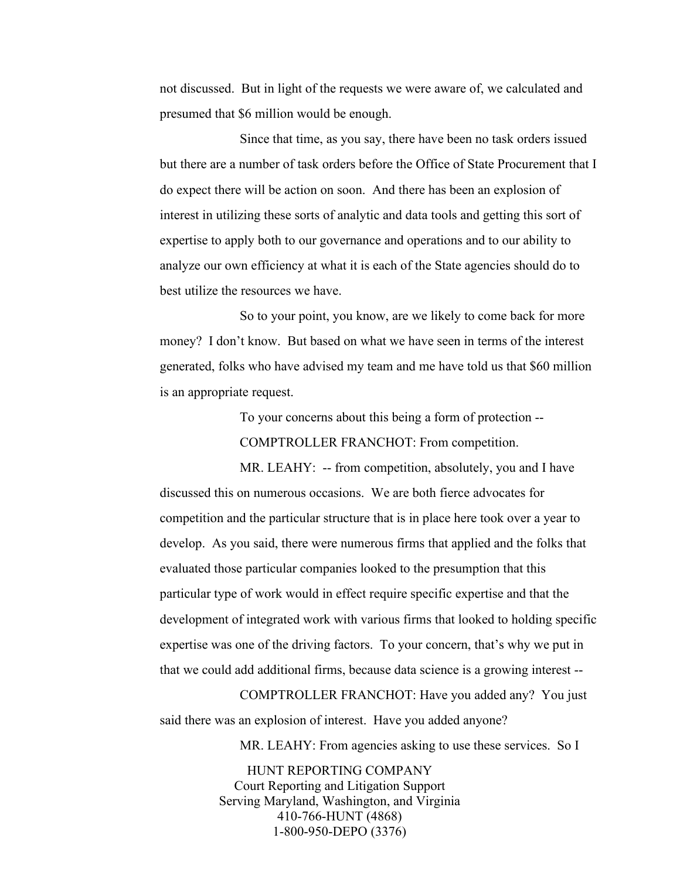not discussed. But in light of the requests we were aware of, we calculated and presumed that \$6 million would be enough.

Since that time, as you say, there have been no task orders issued but there are a number of task orders before the Office of State Procurement that I do expect there will be action on soon. And there has been an explosion of interest in utilizing these sorts of analytic and data tools and getting this sort of expertise to apply both to our governance and operations and to our ability to analyze our own efficiency at what it is each of the State agencies should do to best utilize the resources we have.

So to your point, you know, are we likely to come back for more money? I don't know. But based on what we have seen in terms of the interest generated, folks who have advised my team and me have told us that \$60 million is an appropriate request.

To your concerns about this being a form of protection --

COMPTROLLER FRANCHOT: From competition.

MR. LEAHY: -- from competition, absolutely, you and I have discussed this on numerous occasions. We are both fierce advocates for competition and the particular structure that is in place here took over a year to develop. As you said, there were numerous firms that applied and the folks that evaluated those particular companies looked to the presumption that this particular type of work would in effect require specific expertise and that the development of integrated work with various firms that looked to holding specific expertise was one of the driving factors. To your concern, that's why we put in that we could add additional firms, because data science is a growing interest --

COMPTROLLER FRANCHOT: Have you added any? You just said there was an explosion of interest. Have you added anyone?

MR. LEAHY: From agencies asking to use these services. So I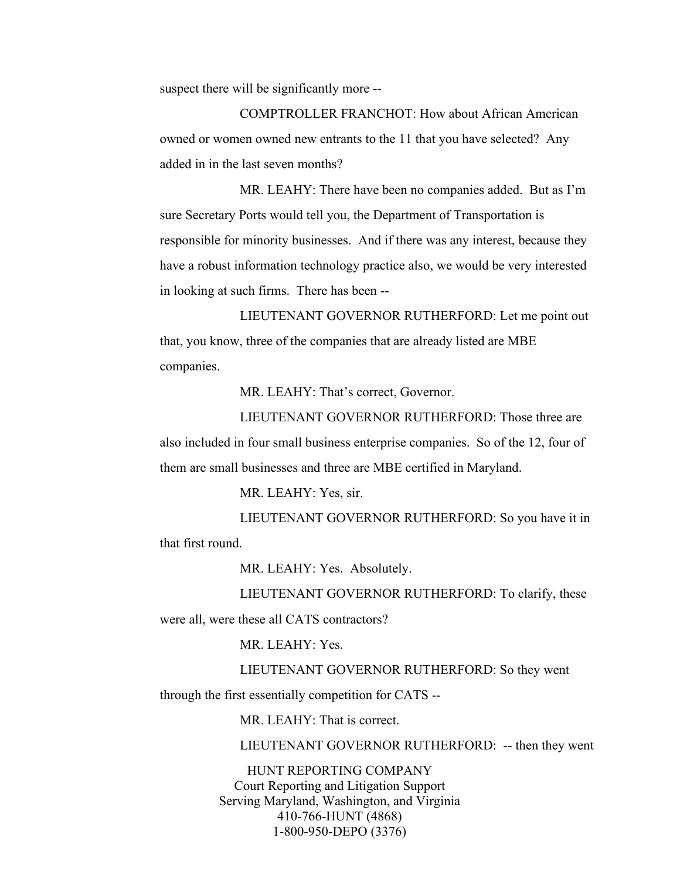suspect there will be significantly more --

COMPTROLLER FRANCHOT: How about African American owned or women owned new entrants to the 11 that you have selected? Any added in in the last seven months?

MR. LEAHY: There have been no companies added. But as I'm sure Secretary Ports would tell you, the Department of Transportation is responsible for minority businesses. And if there was any interest, because they have a robust information technology practice also, we would be very interested in looking at such firms. There has been --

LIEUTENANT GOVERNOR RUTHERFORD: Let me point out that, you know, three of the companies that are already listed are MBE companies.

MR. LEAHY: That's correct, Governor.

LIEUTENANT GOVERNOR RUTHERFORD: Those three are also included in four small business enterprise companies. So of the 12, four of them are small businesses and three are MBE certified in Maryland.

MR. LEAHY: Yes, sir.

LIEUTENANT GOVERNOR RUTHERFORD: So you have it in that first round.

MR. LEAHY: Yes. Absolutely.

LIEUTENANT GOVERNOR RUTHERFORD: To clarify, these were all, were these all CATS contractors?

MR. LEAHY: Yes.

LIEUTENANT GOVERNOR RUTHERFORD: So they went

through the first essentially competition for CATS --

MR. LEAHY: That is correct.

LIEUTENANT GOVERNOR RUTHERFORD: -- then they went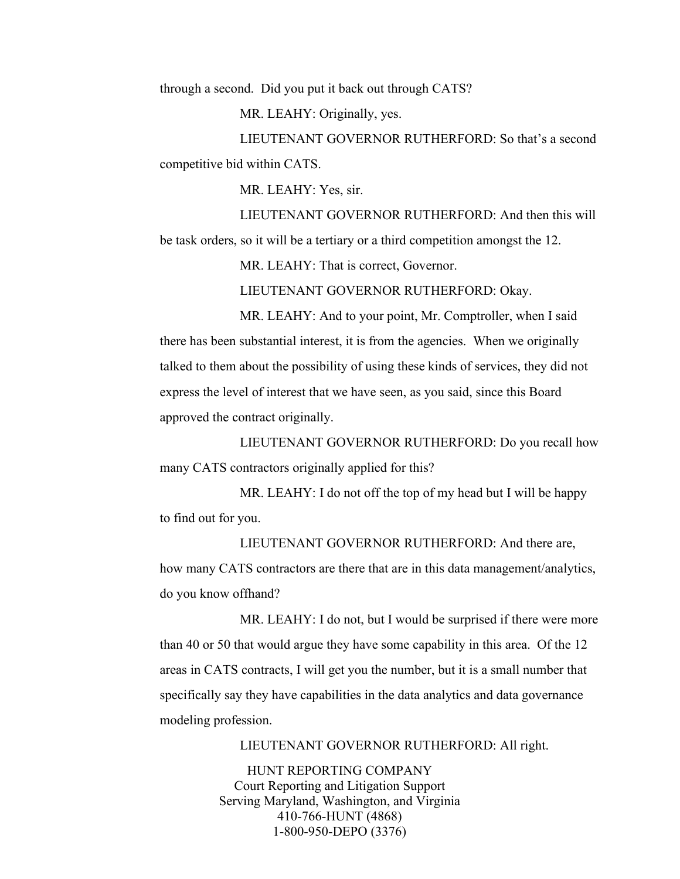through a second. Did you put it back out through CATS?

MR. LEAHY: Originally, yes.

LIEUTENANT GOVERNOR RUTHERFORD: So that's a second competitive bid within CATS.

MR. LEAHY: Yes, sir.

LIEUTENANT GOVERNOR RUTHERFORD: And then this will

be task orders, so it will be a tertiary or a third competition amongst the 12.

MR. LEAHY: That is correct, Governor.

LIEUTENANT GOVERNOR RUTHERFORD: Okay.

MR. LEAHY: And to your point, Mr. Comptroller, when I said there has been substantial interest, it is from the agencies. When we originally talked to them about the possibility of using these kinds of services, they did not express the level of interest that we have seen, as you said, since this Board approved the contract originally.

LIEUTENANT GOVERNOR RUTHERFORD: Do you recall how many CATS contractors originally applied for this?

MR. LEAHY: I do not off the top of my head but I will be happy to find out for you.

LIEUTENANT GOVERNOR RUTHERFORD: And there are, how many CATS contractors are there that are in this data management/analytics, do you know offhand?

MR. LEAHY: I do not, but I would be surprised if there were more than 40 or 50 that would argue they have some capability in this area. Of the 12 areas in CATS contracts, I will get you the number, but it is a small number that specifically say they have capabilities in the data analytics and data governance modeling profession.

LIEUTENANT GOVERNOR RUTHERFORD: All right.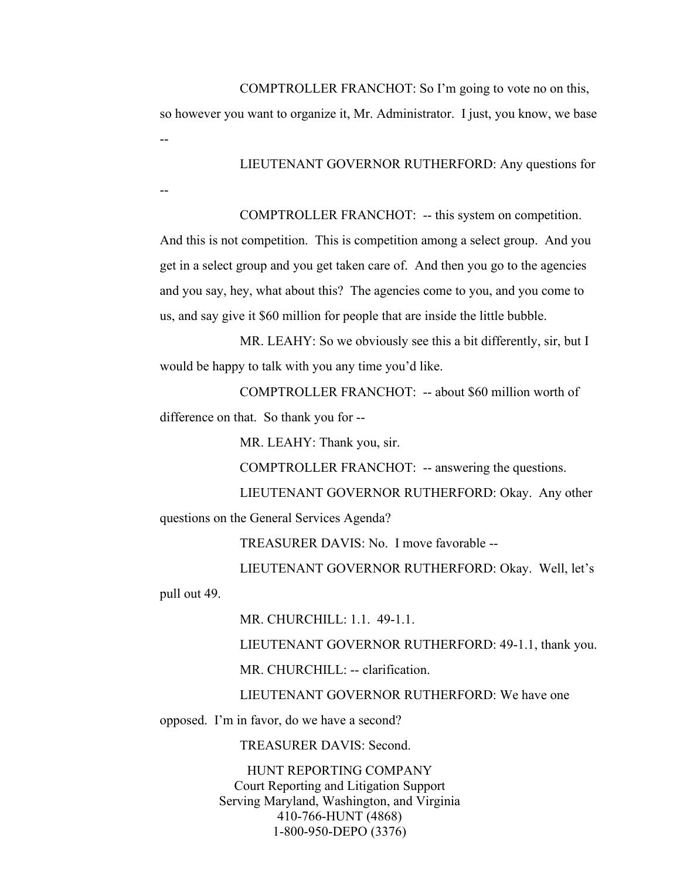--

--

COMPTROLLER FRANCHOT: So I'm going to vote no on this,

so however you want to organize it, Mr. Administrator. I just, you know, we base

LIEUTENANT GOVERNOR RUTHERFORD: Any questions for

COMPTROLLER FRANCHOT: -- this system on competition.

And this is not competition. This is competition among a select group. And you get in a select group and you get taken care of. And then you go to the agencies and you say, hey, what about this? The agencies come to you, and you come to us, and say give it \$60 million for people that are inside the little bubble.

MR. LEAHY: So we obviously see this a bit differently, sir, but I would be happy to talk with you any time you'd like.

COMPTROLLER FRANCHOT: -- about \$60 million worth of difference on that. So thank you for --

MR. LEAHY: Thank you, sir.

COMPTROLLER FRANCHOT: -- answering the questions.

LIEUTENANT GOVERNOR RUTHERFORD: Okay. Any other questions on the General Services Agenda?

TREASURER DAVIS: No. I move favorable --

LIEUTENANT GOVERNOR RUTHERFORD: Okay. Well, let's

pull out 49.

MR. CHURCHILL: 1.1. 49-1.1.

LIEUTENANT GOVERNOR RUTHERFORD: 49-1.1, thank you.

MR. CHURCHILL: -- clarification.

LIEUTENANT GOVERNOR RUTHERFORD: We have one

opposed. I'm in favor, do we have a second?

TREASURER DAVIS: Second.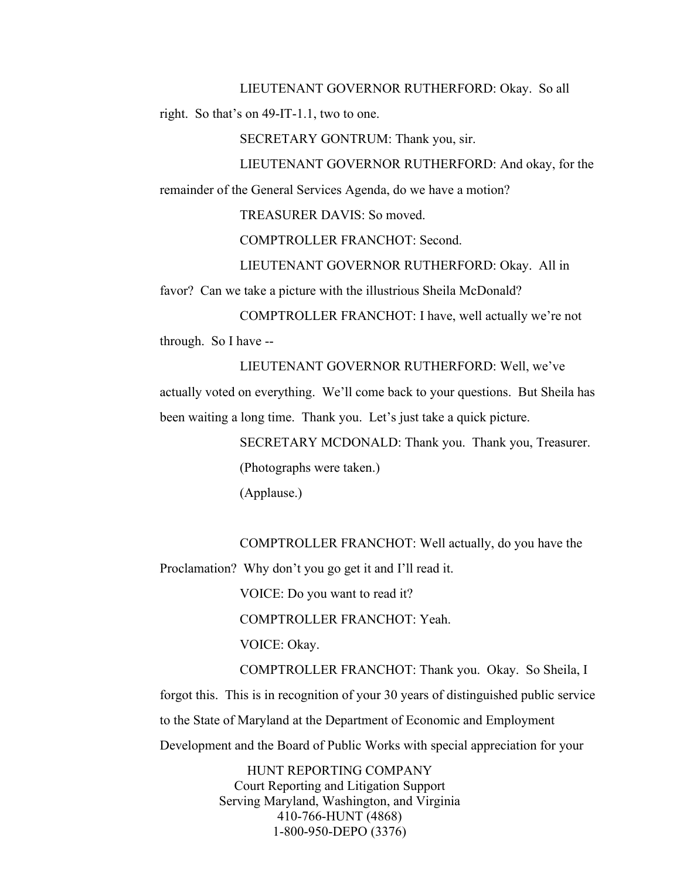LIEUTENANT GOVERNOR RUTHERFORD: Okay. So all

right. So that's on 49-IT-1.1, two to one.

SECRETARY GONTRUM: Thank you, sir.

LIEUTENANT GOVERNOR RUTHERFORD: And okay, for the remainder of the General Services Agenda, do we have a motion?

TREASURER DAVIS: So moved.

COMPTROLLER FRANCHOT: Second.

LIEUTENANT GOVERNOR RUTHERFORD: Okay. All in

favor? Can we take a picture with the illustrious Sheila McDonald?

COMPTROLLER FRANCHOT: I have, well actually we're not through. So I have --

LIEUTENANT GOVERNOR RUTHERFORD: Well, we've actually voted on everything. We'll come back to your questions. But Sheila has been waiting a long time. Thank you. Let's just take a quick picture.

> SECRETARY MCDONALD: Thank you. Thank you, Treasurer. (Photographs were taken.)

(Applause.)

COMPTROLLER FRANCHOT: Well actually, do you have the Proclamation? Why don't you go get it and I'll read it.

VOICE: Do you want to read it?

COMPTROLLER FRANCHOT: Yeah.

VOICE: Okay.

COMPTROLLER FRANCHOT: Thank you. Okay. So Sheila, I forgot this. This is in recognition of your 30 years of distinguished public service to the State of Maryland at the Department of Economic and Employment Development and the Board of Public Works with special appreciation for your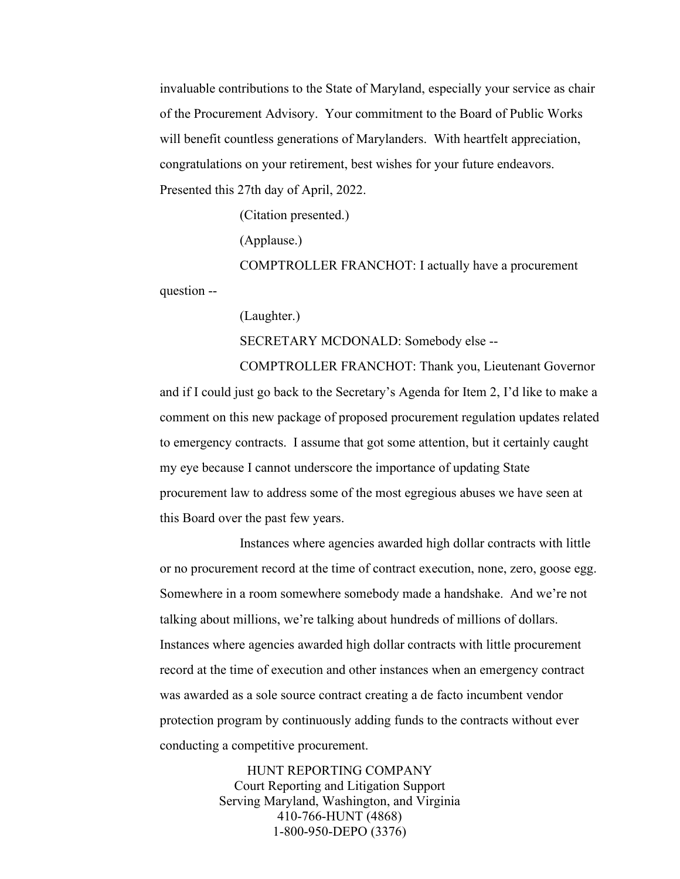invaluable contributions to the State of Maryland, especially your service as chair of the Procurement Advisory. Your commitment to the Board of Public Works will benefit countless generations of Marylanders. With heartfelt appreciation, congratulations on your retirement, best wishes for your future endeavors. Presented this 27th day of April, 2022.

(Citation presented.)

(Applause.)

COMPTROLLER FRANCHOT: I actually have a procurement

question --

(Laughter.)

SECRETARY MCDONALD: Somebody else --

COMPTROLLER FRANCHOT: Thank you, Lieutenant Governor and if I could just go back to the Secretary's Agenda for Item 2, I'd like to make a comment on this new package of proposed procurement regulation updates related to emergency contracts. I assume that got some attention, but it certainly caught my eye because I cannot underscore the importance of updating State procurement law to address some of the most egregious abuses we have seen at this Board over the past few years.

Instances where agencies awarded high dollar contracts with little or no procurement record at the time of contract execution, none, zero, goose egg. Somewhere in a room somewhere somebody made a handshake. And we're not talking about millions, we're talking about hundreds of millions of dollars. Instances where agencies awarded high dollar contracts with little procurement record at the time of execution and other instances when an emergency contract was awarded as a sole source contract creating a de facto incumbent vendor protection program by continuously adding funds to the contracts without ever conducting a competitive procurement.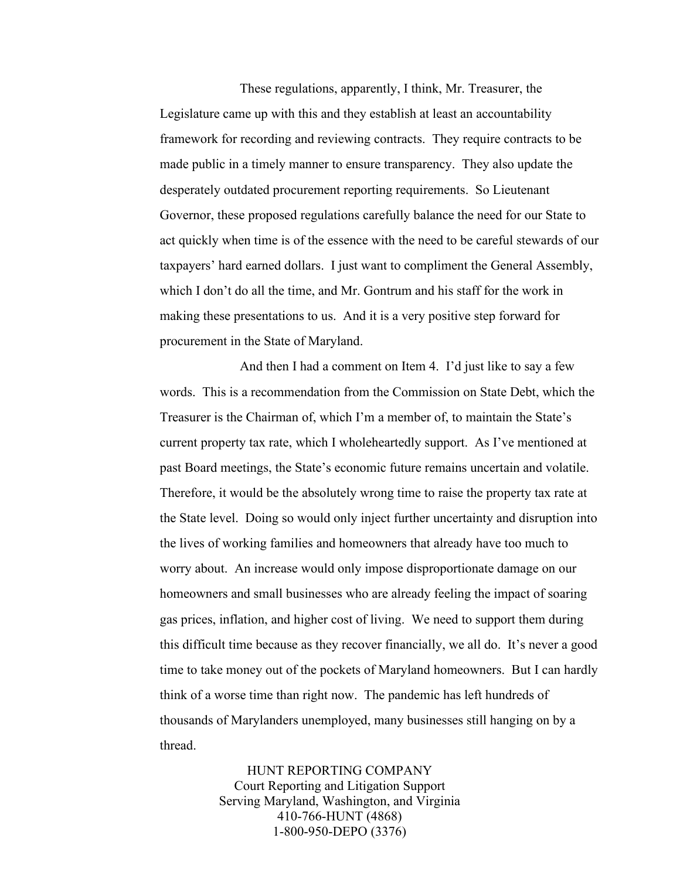These regulations, apparently, I think, Mr. Treasurer, the Legislature came up with this and they establish at least an accountability framework for recording and reviewing contracts. They require contracts to be made public in a timely manner to ensure transparency. They also update the desperately outdated procurement reporting requirements. So Lieutenant Governor, these proposed regulations carefully balance the need for our State to act quickly when time is of the essence with the need to be careful stewards of our taxpayers' hard earned dollars. I just want to compliment the General Assembly, which I don't do all the time, and Mr. Gontrum and his staff for the work in making these presentations to us. And it is a very positive step forward for procurement in the State of Maryland.

And then I had a comment on Item 4. I'd just like to say a few words. This is a recommendation from the Commission on State Debt, which the Treasurer is the Chairman of, which I'm a member of, to maintain the State's current property tax rate, which I wholeheartedly support. As I've mentioned at past Board meetings, the State's economic future remains uncertain and volatile. Therefore, it would be the absolutely wrong time to raise the property tax rate at the State level. Doing so would only inject further uncertainty and disruption into the lives of working families and homeowners that already have too much to worry about. An increase would only impose disproportionate damage on our homeowners and small businesses who are already feeling the impact of soaring gas prices, inflation, and higher cost of living. We need to support them during this difficult time because as they recover financially, we all do. It's never a good time to take money out of the pockets of Maryland homeowners. But I can hardly think of a worse time than right now. The pandemic has left hundreds of thousands of Marylanders unemployed, many businesses still hanging on by a thread.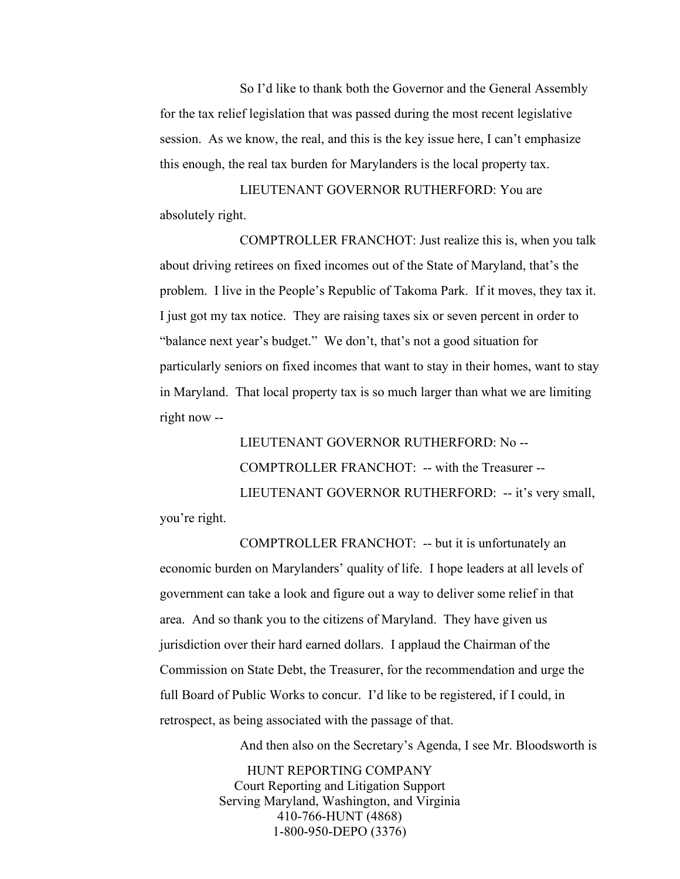So I'd like to thank both the Governor and the General Assembly for the tax relief legislation that was passed during the most recent legislative session. As we know, the real, and this is the key issue here, I can't emphasize this enough, the real tax burden for Marylanders is the local property tax.

LIEUTENANT GOVERNOR RUTHERFORD: You are absolutely right.

COMPTROLLER FRANCHOT: Just realize this is, when you talk about driving retirees on fixed incomes out of the State of Maryland, that's the problem. I live in the People's Republic of Takoma Park. If it moves, they tax it. I just got my tax notice. They are raising taxes six or seven percent in order to "balance next year's budget." We don't, that's not a good situation for particularly seniors on fixed incomes that want to stay in their homes, want to stay in Maryland. That local property tax is so much larger than what we are limiting right now --

LIEUTENANT GOVERNOR RUTHERFORD: No -- COMPTROLLER FRANCHOT: -- with the Treasurer -- LIEUTENANT GOVERNOR RUTHERFORD: -- it's very small, you're right.

COMPTROLLER FRANCHOT: -- but it is unfortunately an economic burden on Marylanders' quality of life. I hope leaders at all levels of government can take a look and figure out a way to deliver some relief in that area. And so thank you to the citizens of Maryland. They have given us jurisdiction over their hard earned dollars. I applaud the Chairman of the Commission on State Debt, the Treasurer, for the recommendation and urge the full Board of Public Works to concur. I'd like to be registered, if I could, in retrospect, as being associated with the passage of that.

And then also on the Secretary's Agenda, I see Mr. Bloodsworth is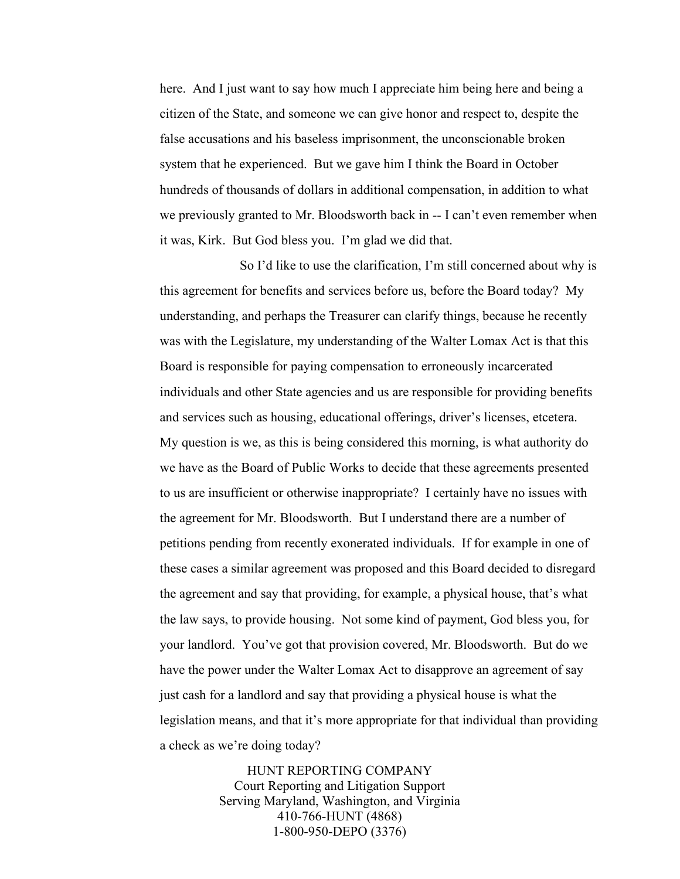here. And I just want to say how much I appreciate him being here and being a citizen of the State, and someone we can give honor and respect to, despite the false accusations and his baseless imprisonment, the unconscionable broken system that he experienced. But we gave him I think the Board in October hundreds of thousands of dollars in additional compensation, in addition to what we previously granted to Mr. Bloodsworth back in -- I can't even remember when it was, Kirk. But God bless you. I'm glad we did that.

So I'd like to use the clarification, I'm still concerned about why is this agreement for benefits and services before us, before the Board today? My understanding, and perhaps the Treasurer can clarify things, because he recently was with the Legislature, my understanding of the Walter Lomax Act is that this Board is responsible for paying compensation to erroneously incarcerated individuals and other State agencies and us are responsible for providing benefits and services such as housing, educational offerings, driver's licenses, etcetera. My question is we, as this is being considered this morning, is what authority do we have as the Board of Public Works to decide that these agreements presented to us are insufficient or otherwise inappropriate? I certainly have no issues with the agreement for Mr. Bloodsworth. But I understand there are a number of petitions pending from recently exonerated individuals. If for example in one of these cases a similar agreement was proposed and this Board decided to disregard the agreement and say that providing, for example, a physical house, that's what the law says, to provide housing. Not some kind of payment, God bless you, for your landlord. You've got that provision covered, Mr. Bloodsworth. But do we have the power under the Walter Lomax Act to disapprove an agreement of say just cash for a landlord and say that providing a physical house is what the legislation means, and that it's more appropriate for that individual than providing a check as we're doing today?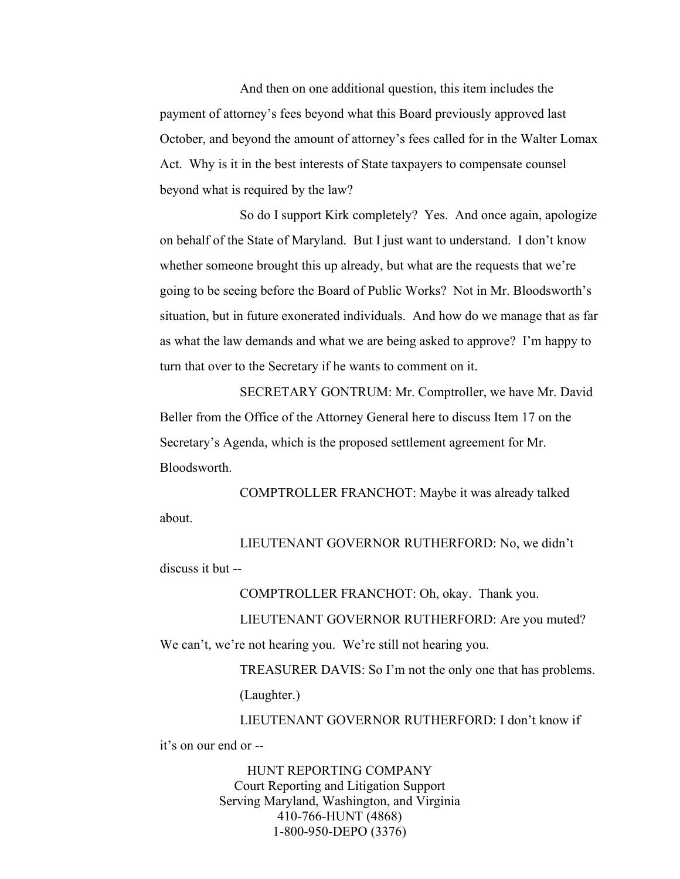And then on one additional question, this item includes the payment of attorney's fees beyond what this Board previously approved last October, and beyond the amount of attorney's fees called for in the Walter Lomax Act. Why is it in the best interests of State taxpayers to compensate counsel beyond what is required by the law?

So do I support Kirk completely? Yes. And once again, apologize on behalf of the State of Maryland. But I just want to understand. I don't know whether someone brought this up already, but what are the requests that we're going to be seeing before the Board of Public Works? Not in Mr. Bloodsworth's situation, but in future exonerated individuals. And how do we manage that as far as what the law demands and what we are being asked to approve? I'm happy to turn that over to the Secretary if he wants to comment on it.

SECRETARY GONTRUM: Mr. Comptroller, we have Mr. David Beller from the Office of the Attorney General here to discuss Item 17 on the Secretary's Agenda, which is the proposed settlement agreement for Mr. Bloodsworth.

COMPTROLLER FRANCHOT: Maybe it was already talked about.

LIEUTENANT GOVERNOR RUTHERFORD: No, we didn't discuss it but --

COMPTROLLER FRANCHOT: Oh, okay. Thank you.

LIEUTENANT GOVERNOR RUTHERFORD: Are you muted?

We can't, we're not hearing you. We're still not hearing you.

TREASURER DAVIS: So I'm not the only one that has problems.

(Laughter.)

LIEUTENANT GOVERNOR RUTHERFORD: I don't know if it's on our end or --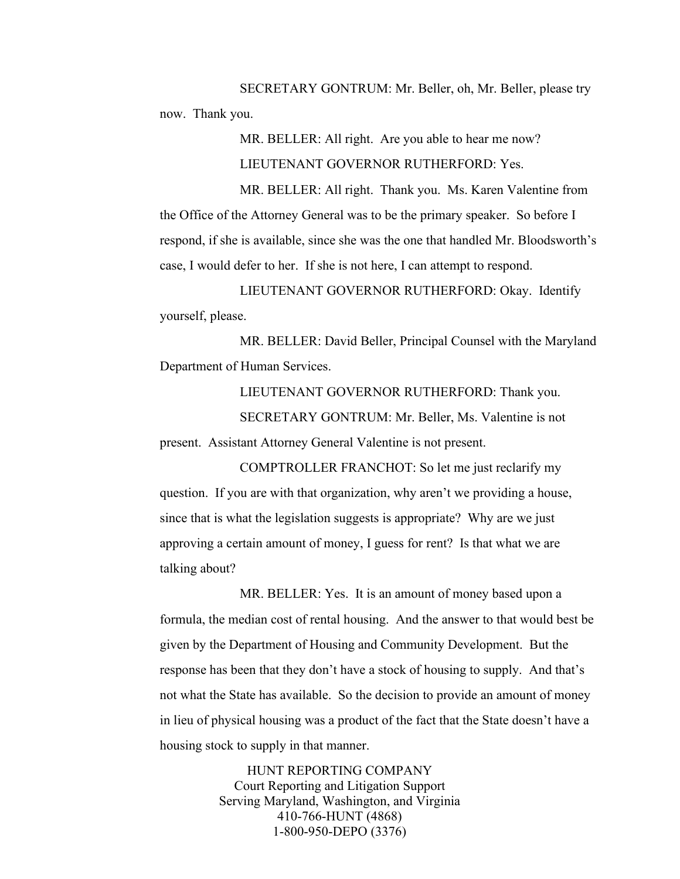SECRETARY GONTRUM: Mr. Beller, oh, Mr. Beller, please try now. Thank you.

> MR. BELLER: All right. Are you able to hear me now? LIEUTENANT GOVERNOR RUTHERFORD: Yes.

MR. BELLER: All right. Thank you. Ms. Karen Valentine from the Office of the Attorney General was to be the primary speaker. So before I respond, if she is available, since she was the one that handled Mr. Bloodsworth's case, I would defer to her. If she is not here, I can attempt to respond.

LIEUTENANT GOVERNOR RUTHERFORD: Okay. Identify yourself, please.

MR. BELLER: David Beller, Principal Counsel with the Maryland Department of Human Services.

LIEUTENANT GOVERNOR RUTHERFORD: Thank you.

SECRETARY GONTRUM: Mr. Beller, Ms. Valentine is not present. Assistant Attorney General Valentine is not present.

COMPTROLLER FRANCHOT: So let me just reclarify my question. If you are with that organization, why aren't we providing a house, since that is what the legislation suggests is appropriate? Why are we just approving a certain amount of money, I guess for rent? Is that what we are talking about?

MR. BELLER: Yes. It is an amount of money based upon a formula, the median cost of rental housing. And the answer to that would best be given by the Department of Housing and Community Development. But the response has been that they don't have a stock of housing to supply. And that's not what the State has available. So the decision to provide an amount of money in lieu of physical housing was a product of the fact that the State doesn't have a housing stock to supply in that manner.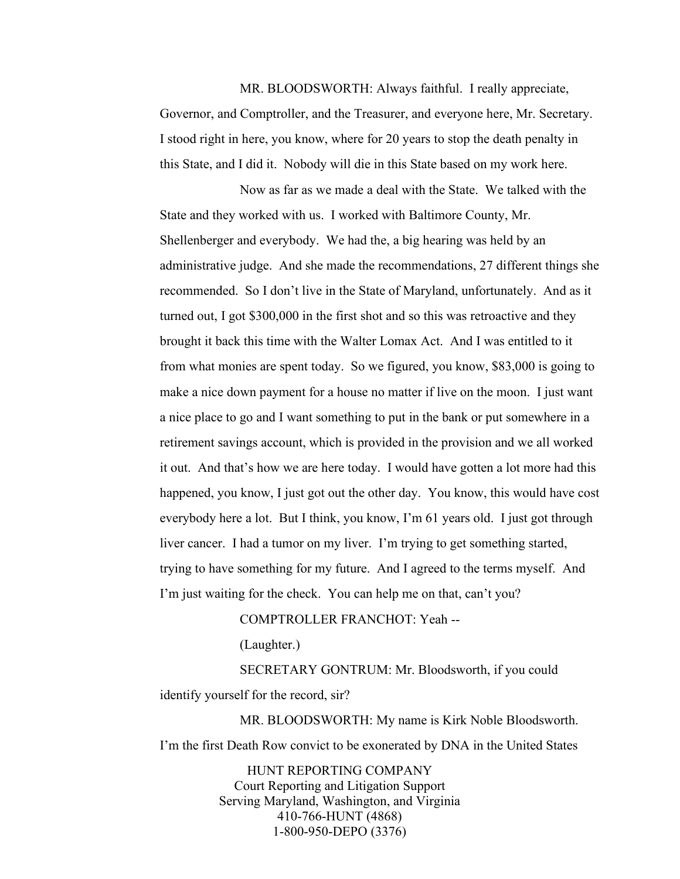## 4/27/2022 \*Board of Public Works\*

MR. BLOODSWORTH: Always faithful. I really appreciate, Governor, and Comptroller, and the Treasurer, and everyone here, Mr. Secretary. I stood right in here, you know, where for 20 years to stop the death penalty in this State, and I did it. Nobody will die in this State based on my work here.

Now as far as we made a deal with the State. We talked with the State and they worked with us. I worked with Baltimore County, Mr. Shellenberger and everybody. We had the, a big hearing was held by an administrative judge. And she made the recommendations, 27 different things she recommended. So I don't live in the State of Maryland, unfortunately. And as it turned out, I got \$300,000 in the first shot and so this was retroactive and they brought it back this time with the Walter Lomax Act. And I was entitled to it from what monies are spent today. So we figured, you know, \$83,000 is going to make a nice down payment for a house no matter if live on the moon. I just want a nice place to go and I want something to put in the bank or put somewhere in a retirement savings account, which is provided in the provision and we all worked it out. And that's how we are here today. I would have gotten a lot more had this happened, you know, I just got out the other day. You know, this would have cost everybody here a lot. But I think, you know, I'm 61 years old. I just got through liver cancer. I had a tumor on my liver. I'm trying to get something started, trying to have something for my future. And I agreed to the terms myself. And I'm just waiting for the check. You can help me on that, can't you?

## COMPTROLLER FRANCHOT: Yeah --

(Laughter.)

SECRETARY GONTRUM: Mr. Bloodsworth, if you could identify yourself for the record, sir?

MR. BLOODSWORTH: My name is Kirk Noble Bloodsworth. I'm the first Death Row convict to be exonerated by DNA in the United States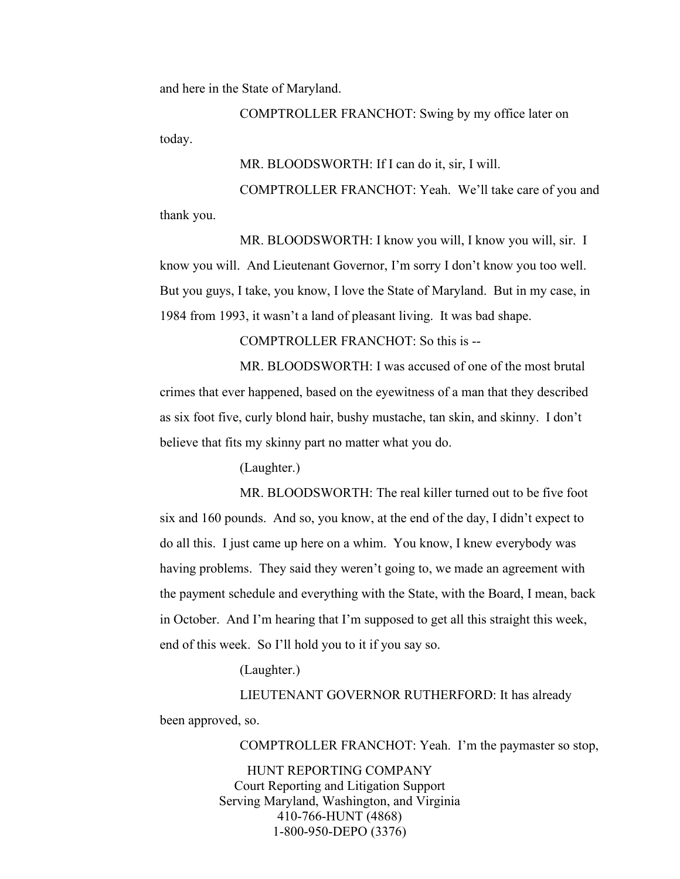and here in the State of Maryland.

COMPTROLLER FRANCHOT: Swing by my office later on today.

MR. BLOODSWORTH: If I can do it, sir, I will.

COMPTROLLER FRANCHOT: Yeah. We'll take care of you and thank you.

MR. BLOODSWORTH: I know you will, I know you will, sir. I know you will. And Lieutenant Governor, I'm sorry I don't know you too well. But you guys, I take, you know, I love the State of Maryland. But in my case, in 1984 from 1993, it wasn't a land of pleasant living. It was bad shape.

COMPTROLLER FRANCHOT: So this is --

MR. BLOODSWORTH: I was accused of one of the most brutal crimes that ever happened, based on the eyewitness of a man that they described as six foot five, curly blond hair, bushy mustache, tan skin, and skinny. I don't believe that fits my skinny part no matter what you do.

(Laughter.)

MR. BLOODSWORTH: The real killer turned out to be five foot six and 160 pounds. And so, you know, at the end of the day, I didn't expect to do all this. I just came up here on a whim. You know, I knew everybody was having problems. They said they weren't going to, we made an agreement with the payment schedule and everything with the State, with the Board, I mean, back in October. And I'm hearing that I'm supposed to get all this straight this week, end of this week. So I'll hold you to it if you say so.

(Laughter.)

LIEUTENANT GOVERNOR RUTHERFORD: It has already been approved, so.

COMPTROLLER FRANCHOT: Yeah. I'm the paymaster so stop,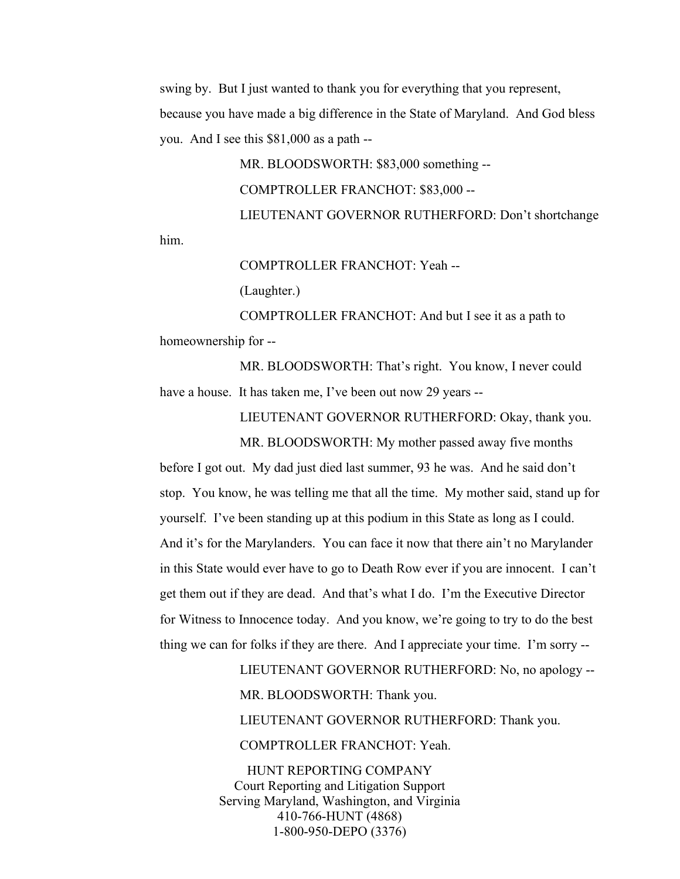him.

swing by. But I just wanted to thank you for everything that you represent, because you have made a big difference in the State of Maryland. And God bless you. And I see this \$81,000 as a path --

> MR. BLOODSWORTH: \$83,000 something -- COMPTROLLER FRANCHOT: \$83,000 -- LIEUTENANT GOVERNOR RUTHERFORD: Don't shortchange

COMPTROLLER FRANCHOT: Yeah --

(Laughter.)

COMPTROLLER FRANCHOT: And but I see it as a path to homeownership for --

MR. BLOODSWORTH: That's right. You know, I never could have a house. It has taken me, I've been out now 29 years --

LIEUTENANT GOVERNOR RUTHERFORD: Okay, thank you.

MR. BLOODSWORTH: My mother passed away five months before I got out. My dad just died last summer, 93 he was. And he said don't stop. You know, he was telling me that all the time. My mother said, stand up for yourself. I've been standing up at this podium in this State as long as I could. And it's for the Marylanders. You can face it now that there ain't no Marylander in this State would ever have to go to Death Row ever if you are innocent. I can't get them out if they are dead. And that's what I do. I'm the Executive Director for Witness to Innocence today. And you know, we're going to try to do the best thing we can for folks if they are there. And I appreciate your time. I'm sorry --

> LIEUTENANT GOVERNOR RUTHERFORD: No, no apology -- MR. BLOODSWORTH: Thank you.

LIEUTENANT GOVERNOR RUTHERFORD: Thank you.

COMPTROLLER FRANCHOT: Yeah.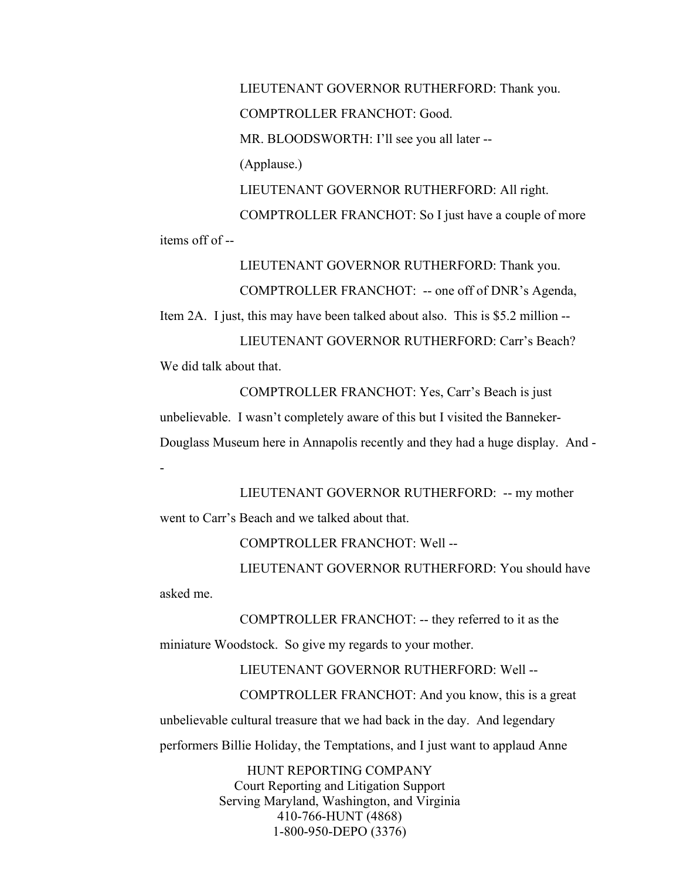LIEUTENANT GOVERNOR RUTHERFORD: Thank you. COMPTROLLER FRANCHOT: Good. MR. BLOODSWORTH: I'll see you all later --(Applause.) LIEUTENANT GOVERNOR RUTHERFORD: All right. COMPTROLLER FRANCHOT: So I just have a couple of more items off of --

LIEUTENANT GOVERNOR RUTHERFORD: Thank you.

COMPTROLLER FRANCHOT: -- one off of DNR's Agenda,

Item 2A. I just, this may have been talked about also. This is \$5.2 million -- LIEUTENANT GOVERNOR RUTHERFORD: Carr's Beach? We did talk about that.

COMPTROLLER FRANCHOT: Yes, Carr's Beach is just unbelievable. I wasn't completely aware of this but I visited the Banneker-Douglass Museum here in Annapolis recently and they had a huge display. And -

LIEUTENANT GOVERNOR RUTHERFORD: -- my mother

went to Carr's Beach and we talked about that.

COMPTROLLER FRANCHOT: Well --

LIEUTENANT GOVERNOR RUTHERFORD: You should have

asked me.

-

COMPTROLLER FRANCHOT: -- they referred to it as the

miniature Woodstock. So give my regards to your mother.

LIEUTENANT GOVERNOR RUTHERFORD: Well --

COMPTROLLER FRANCHOT: And you know, this is a great unbelievable cultural treasure that we had back in the day. And legendary performers Billie Holiday, the Temptations, and I just want to applaud Anne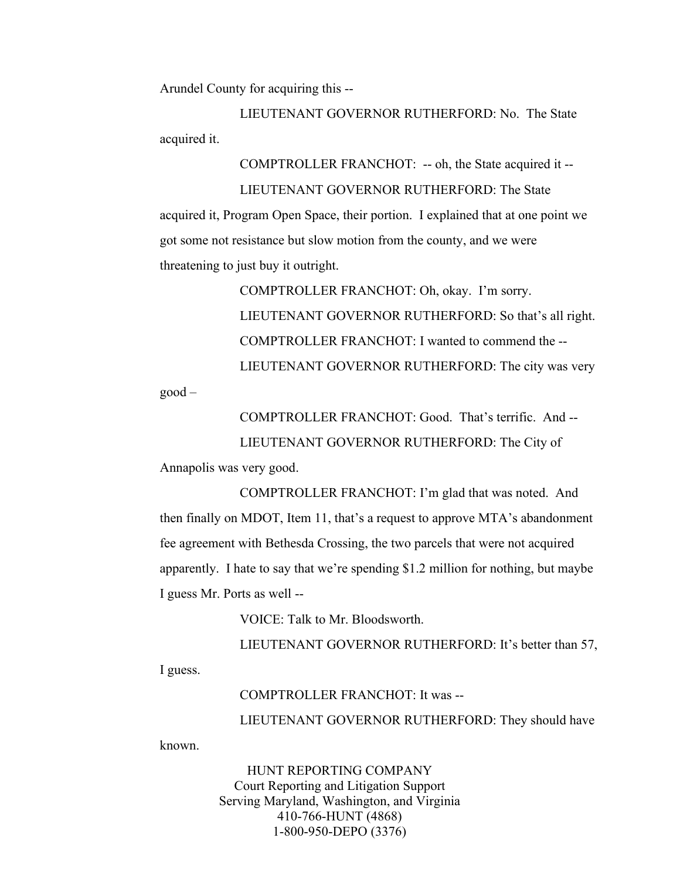Arundel County for acquiring this --

LIEUTENANT GOVERNOR RUTHERFORD: No. The State acquired it.

COMPTROLLER FRANCHOT: -- oh, the State acquired it -- LIEUTENANT GOVERNOR RUTHERFORD: The State acquired it, Program Open Space, their portion. I explained that at one point we got some not resistance but slow motion from the county, and we were threatening to just buy it outright.

> COMPTROLLER FRANCHOT: Oh, okay. I'm sorry. LIEUTENANT GOVERNOR RUTHERFORD: So that's all right. COMPTROLLER FRANCHOT: I wanted to commend the -- LIEUTENANT GOVERNOR RUTHERFORD: The city was very

good –

COMPTROLLER FRANCHOT: Good. That's terrific. And -- LIEUTENANT GOVERNOR RUTHERFORD: The City of

Annapolis was very good.

COMPTROLLER FRANCHOT: I'm glad that was noted. And then finally on MDOT, Item 11, that's a request to approve MTA's abandonment fee agreement with Bethesda Crossing, the two parcels that were not acquired apparently. I hate to say that we're spending \$1.2 million for nothing, but maybe I guess Mr. Ports as well --

VOICE: Talk to Mr. Bloodsworth.

LIEUTENANT GOVERNOR RUTHERFORD: It's better than 57, I guess.

COMPTROLLER FRANCHOT: It was --

LIEUTENANT GOVERNOR RUTHERFORD: They should have

known.